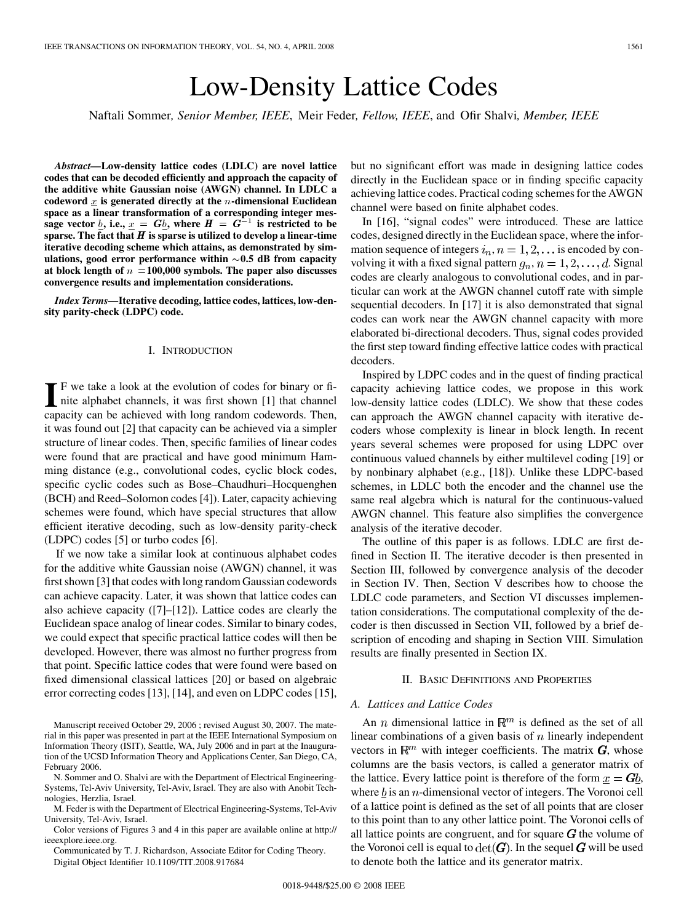# Low-Density Lattice Codes

Naftali Sommer*, Senior Member, IEEE*, Meir Feder*, Fellow, IEEE*, and Ofir Shalvi*, Member, IEEE*

*Abstract—***Low-density lattice codes (LDLC) are novel lattice codes that can be decoded efficiently and approach the capacity of the additive white Gaussian noise (AWGN) channel. In LDLC a codeword** x is generated directly at the n-dimensional Euclidean space as a linear transformation of a corresponding integer message vector  $\underline{b}$ , i.e.,  $\underline{x} = G\underline{b}$ , where  $H = G^{-1}$  is restricted to be space as a linear transformation of a corresponding integer message vector *b*, i.e.,  $x = Gb$ , where  $H = G^{-1}$  is restricted to be sparse. The fact that  $H$  is sparse is utilized to develop a linear-time **iterative decoding scheme which attains, as demonstrated by simulations, good error performance within 0.5 dB from capacity at block length of** <sup>n</sup> <sup>=</sup>**100,000 symbols. The paper also discusses convergence results and implementation considerations.**

*Index Terms—***Iterative decoding, lattice codes, lattices, low-density parity-check (LDPC) code.**

#### I. INTRODUCTION

**I** F we take a look at the evolution of codes for binary or fi-<br>nite alphabet channels, it was first shown [1] that channel capacity can be achieved with long random codewords. Then, it was found out [2] that capacity can be achieved via a simpler structure of linear codes. Then, specific families of linear codes were found that are practical and have good minimum Hamming distance (e.g., convolutional codes, cyclic block codes, specific cyclic codes such as Bose–Chaudhuri–Hocquenghen (BCH) and Reed–Solomon codes [4]). Later, capacity achieving schemes were found, which have special structures that allow efficient iterative decoding, such as low-density parity-check (LDPC) codes [5] or turbo codes [6].

If we now take a similar look at continuous alphabet codes for the additive white Gaussian noise (AWGN) channel, it was first shown [3] that codes with long random Gaussian codewords can achieve capacity. Later, it was shown that lattice codes can also achieve capacity ([7]–[12]). Lattice codes are clearly the Euclidean space analog of linear codes. Similar to binary codes, we could expect that specific practical lattice codes will then be developed. However, there was almost no further progress from that point. Specific lattice codes that were found were based on fixed dimensional classical lattices [20] or based on algebraic error correcting codes [13], [14], and even on LDPC codes [15],

Manuscript received October 29, 2006 ; revised August 30, 2007. The material in this paper was presented in part at the IEEE International Symposium on Information Theory (ISIT), Seattle, WA, July 2006 and in part at the Inauguration of the UCSD Information Theory and Applications Center, San Diego, CA, February 2006.

N. Sommer and O. Shalvi are with the Department of Electrical Engineering-Systems, Tel-Aviv University, Tel-Aviv, Israel. They are also with Anobit Technologies, Herzlia, Israel.

M. Feder is with the Department of Electrical Engineering-Systems, Tel-Aviv University, Tel-Aviv, Israel.

Color versions of Figures 3 and 4 in this paper are available online at http:// ieeexplore.ieee.org.

Communicated by T. J. Richardson, Associate Editor for Coding Theory. Digital Object Identifier 10.1109/TIT.2008.917684

but no significant effort was made in designing lattice codes directly in the Euclidean space or in finding specific capacity achieving lattice codes. Practical coding schemes for the AWGN channel were based on finite alphabet codes.

In [16], "signal codes" were introduced. These are lattice codes, designed directly in the Euclidean space, where the information sequence of integers  $i_n$ ,  $n = 1, 2, \dots$  is encoded by convolving it with a fixed signal pattern  $g_n$ ,  $n = 1, 2, \dots, d$ . Signal codes are clearly analogous to convolutional codes, and in particular can work at the AWGN channel cutoff rate with simple sequential decoders. In [17] it is also demonstrated that signal codes can work near the AWGN channel capacity with more elaborated bi-directional decoders. Thus, signal codes provided the first step toward finding effective lattice codes with practical decoders.

Inspired by LDPC codes and in the quest of finding practical capacity achieving lattice codes, we propose in this work low-density lattice codes (LDLC). We show that these codes can approach the AWGN channel capacity with iterative decoders whose complexity is linear in block length. In recent years several schemes were proposed for using LDPC over continuous valued channels by either multilevel coding [19] or by nonbinary alphabet (e.g., [18]). Unlike these LDPC-based schemes, in LDLC both the encoder and the channel use the same real algebra which is natural for the continuous-valued AWGN channel. This feature also simplifies the convergence analysis of the iterative decoder.

The outline of this paper is as follows. LDLC are first defined in Section II. The iterative decoder is then presented in Section III, followed by convergence analysis of the decoder in Section IV. Then, Section V describes how to choose the LDLC code parameters, and Section VI discusses implementation considerations. The computational complexity of the decoder is then discussed in Section VII, followed by a brief description of encoding and shaping in Section VIII. Simulation results are finally presented in Section IX.

#### II. BASIC DEFINITIONS AND PROPERTIES

#### *A. Lattices and Lattice Codes*

An *n* dimensional lattice in  $\mathbb{R}^m$  is defined as the set of all linear combinations of a given basis of  $n$  linearly independent vectors in  $\mathbb{R}^m$  with integer coefficients. The matrix  $G$ , whose columns are the basis vectors, is called a generator matrix of the lattice. Every lattice point is therefore of the form  $x = Gb$ , where  $b$  is an  $n$ -dimensional vector of integers. The Voronoi cell of a lattice point is defined as the set of all points that are closer to this point than to any other lattice point. The Voronoi cells of all lattice points are congruent, and for square  $\boldsymbol{G}$  the volume of the Voronoi cell is equal to  $\det(G)$ . In the sequel G will be used to denote both the lattice and its generator matrix.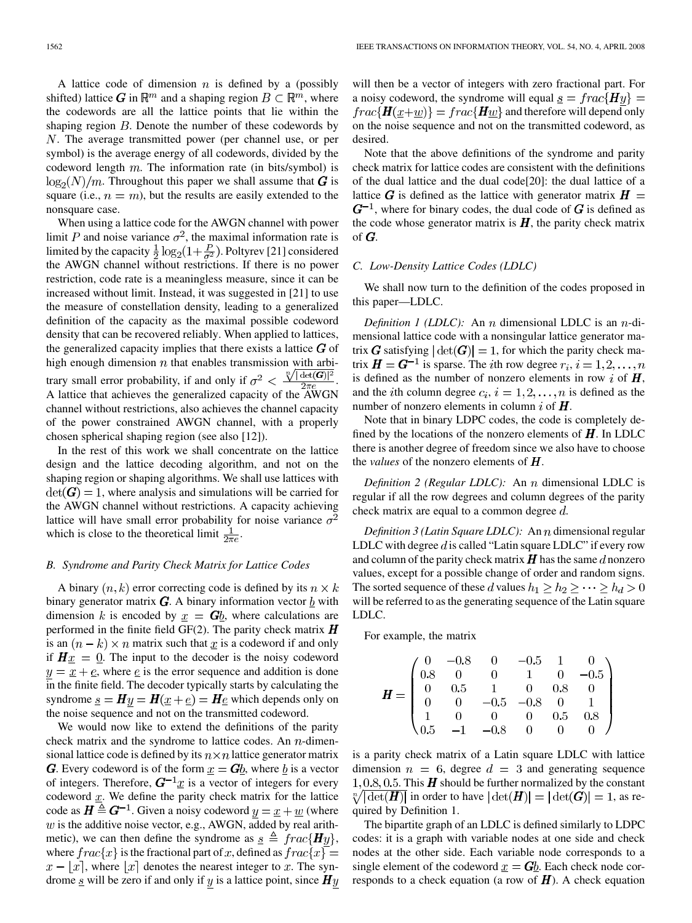A lattice code of dimension  $n$  is defined by a (possibly shifted) lattice G in  $\mathbb{R}^m$  and a shaping region  $B \subset \mathbb{R}^m$ , where the codewords are all the lattice points that lie within the shaping region  $B$ . Denote the number of these codewords by . The average transmitted power (per channel use, or per symbol) is the average energy of all codewords, divided by the codeword length  $m$ . The information rate (in bits/symbol) is  $\log_2(N)/m$ . Throughout this paper we shall assume that G is square (i.e.,  $n = m$ ), but the results are easily extended to the nonsquare case.

When using a lattice code for the AWGN channel with power limit P and noise variance  $\sigma^2$ , the maximal information rate is limited by the capacity  $\frac{1}{2} \log_2(1+\frac{P}{\sigma^2})$ . Poltyrev [21] considered the AWGN channel without restrictions. If there is no power restriction, code rate is a meaningless measure, since it can be increased without limit. Instead, it was suggested in [21] to use the measure of constellation density, leading to a generalized definition of the capacity as the maximal possible codeword density that can be recovered reliably. When applied to lattices, the generalized capacity implies that there exists a lattice  $\boldsymbol{G}$  of high enough dimension  $n$  that enables transmission with arbitrary small error probability, if and only if  $\sigma^2 < \frac{\sqrt[n]{|\det(G)|^2}}{2\pi\epsilon}$ . A lattice that achieves the generalized capacity of the AWGN channel without restrictions, also achieves the channel capacity of the power constrained AWGN channel, with a properly chosen spherical shaping region (see also [12]).

In the rest of this work we shall concentrate on the lattice design and the lattice decoding algorithm, and not on the shaping region or shaping algorithms. We shall use lattices with  $\det(G) = 1$ , where analysis and simulations will be carried for the AWGN channel without restrictions. A capacity achieving lattice will have small error probability for noise variance  $\sigma^2$ which is close to the theoretical limit  $\frac{1}{2\pi e}$ .

#### *B. Syndrome and Parity Check Matrix for Lattice Codes*

A binary  $(n, k)$  error correcting code is defined by its  $n \times k$ binary generator matrix *. A binary information vector*  $b$  *with*</u> dimension k is encoded by  $x = Gb$ , where calculations are performed in the finite field GF(2). The parity check matrix  $\boldsymbol{H}$ is an  $(n - k) \times n$  matrix such that x is a codeword if and only if  $H_x = 0$ . The input to the decoder is the noisy codeword  $y = x + e$ , where e is the error sequence and addition is done in the finite field. The decoder typically starts by calculating the syndrome  $\underline{s} = H y = H(\underline{x} + \underline{e}) = H \underline{e}$  which depends only on the noise sequence and not on the transmitted codeword.

We would now like to extend the definitions of the parity check matrix and the syndrome to lattice codes. An  $n$ -dimensional lattice code is defined by its  $n \times n$  lattice generator matrix **G**. Every codeword is of the form  $\underline{x} = G\underline{b}$ , where  $\underline{b}$  is a vector of integers. Therefore,  $G^{-1}x$  is a vector of integers for every codeword  $x$ . We define the parity check matrix for the lattice code as  $H \triangleq G^{-1}$ . Given a noisy codeword  $y = x + w$  (where  $w$  is the additive noise vector, e.g., AWGN, added by real arithmetic), we can then define the syndrome as  $s \triangleq frac{\{Hy\}}$ , where  $frac{r}{x}$  is the fractional part of x, defined as  $frac{r}{x}$  $x - |x|$ , where  $|x|$  denotes the nearest integer to x. The syndrome  $\underline{s}$  will be zero if and only if  $y$  is a lattice point, since  $\boldsymbol{H}y$ 

will then be a vector of integers with zero fractional part. For a noisy codeword, the syndrome will equal  $\underline{s} = \frac{frac{Hy}{}}{||Hy||}$  $frac{H(x+w)}{=}frac{Hw}{}$  and therefore will depend only on the noise sequence and not on the transmitted codeword, as desired.

Note that the above definitions of the syndrome and parity check matrix for lattice codes are consistent with the definitions of the dual lattice and the dual code[20]: the dual lattice of a lattice G is defined as the lattice with generator matrix  $H =$  $G^{-1}$ , where for binary codes, the dual code of G is defined as the code whose generator matrix is  $H$ , the parity check matrix of  $G$ .

#### *C. Low-Density Lattice Codes (LDLC)*

We shall now turn to the definition of the codes proposed in this paper—LDLC.

*Definition 1 (LDLC):* An *n* dimensional LDLC is an *n*-dimensional lattice code with a nonsingular lattice generator matrix G satisfying  $|\det(G)| = 1$ , for which the parity check matrix  $\mathbf{H} = \mathbf{G}^{-1}$  is sparse. The *i*th row degree  $r_i$ ,  $i = 1, 2, ..., n$ is defined as the number of nonzero elements in row i of  $H$ , and the *i*th column degree  $c_i$ ,  $i = 1, 2, ..., n$  is defined as the number of nonzero elements in column i of  $\boldsymbol{H}$ .

Note that in binary LDPC codes, the code is completely defined by the locations of the nonzero elements of  $H$ . In LDLC there is another degree of freedom since we also have to choose the *values* of the nonzero elements of  $\boldsymbol{H}$ .

*Definition 2 (Regular LDLC):* An *n* dimensional LDLC is regular if all the row degrees and column degrees of the parity check matrix are equal to a common degree  $d$ .

*Definition 3 (Latin Square LDLC)*: An *n* dimensional regular LDLC with degree  $d$  is called "Latin square LDLC" if every row and column of the parity check matrix  $H$  has the same d nonzero values, except for a possible change of order and random signs. The sorted sequence of these d values  $h_1 \geq h_2 \geq \cdots \geq h_d > 0$ will be referred to as the generating sequence of the Latin square LDLC.

For example, the matrix

$$
\boldsymbol{H} = \begin{pmatrix} 0 & -0.8 & 0 & -0.5 & 1 & 0 \\ 0.8 & 0 & 0 & 1 & 0 & -0.5 \\ 0 & 0.5 & 1 & 0 & 0.8 & 0 \\ 0 & 0 & -0.5 & -0.8 & 0 & 1 \\ 1 & 0 & 0 & 0 & 0.5 & 0.8 \\ 0.5 & -1 & -0.8 & 0 & 0 & 0 \end{pmatrix}
$$

is a parity check matrix of a Latin square LDLC with lattice dimension  $n = 6$ , degree  $d = 3$  and generating sequence 1, 0.8, 0.5. This  $H$  should be further normalized by the constant  $\sqrt[n]{|\det(H)|}$  in order to have  $|\det(H)| = |\det(G)| = 1$ , as required by Definition 1.

The bipartite graph of an LDLC is defined similarly to LDPC codes: it is a graph with variable nodes at one side and check nodes at the other side. Each variable node corresponds to a single element of the codeword  $x = Gb$ . Each check node corresponds to a check equation (a row of  $H$ ). A check equation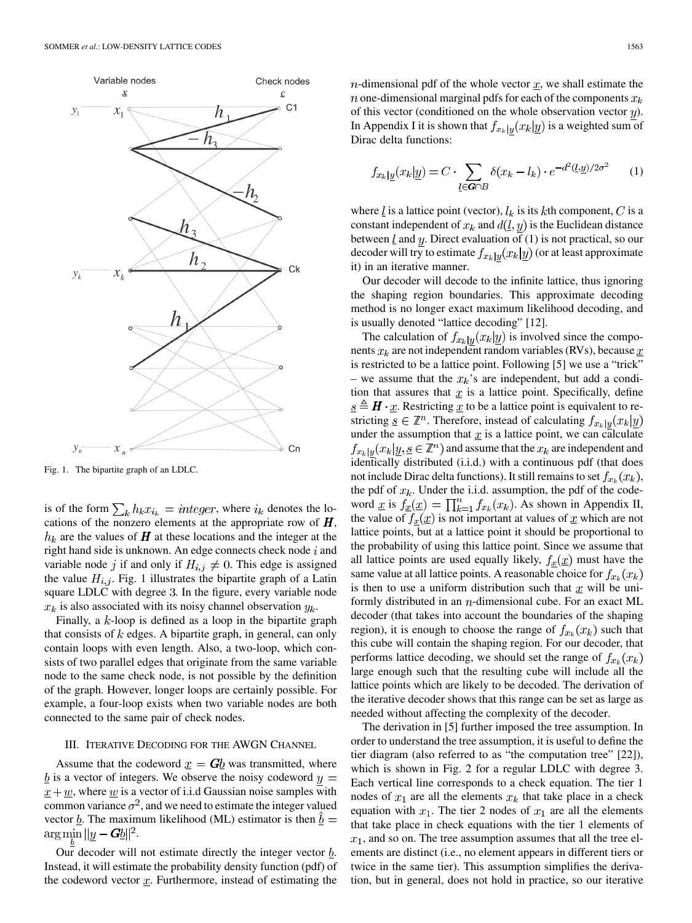

Fig. 1. The bipartite graph of an LDLC.

is of the form  $\sum_k h_k x_{i_k} = integer$ , where  $i_k$  denotes the locations of the nonzero elements at the appropriate row of  $H$ ,  $h_k$  are the values of  $\boldsymbol{H}$  at these locations and the integer at the right hand side is unknown. An edge connects check node  $i$  and variable node j if and only if  $H_{i,j} \neq 0$ . This edge is assigned the value  $H_{i,j}$ . Fig. 1 illustrates the bipartite graph of a Latin square LDLC with degree 3. In the figure, every variable node  $x_k$  is also associated with its noisy channel observation  $y_k$ .

Finally, a  $k$ -loop is defined as a loop in the bipartite graph that consists of  $k$  edges. A bipartite graph, in general, can only contain loops with even length. Also, a two-loop, which consists of two parallel edges that originate from the same variable node to the same check node, is not possible by the definition of the graph. However, longer loops are certainly possible. For example, a four-loop exists when two variable nodes are both connected to the same pair of check nodes.

# III. ITERATIVE DECODING FOR THE AWGN CHANNEL

Assume that the codeword  $\underline{x} = G\underline{b}$  was transmitted, where  $\underline{b}$  is a vector of integers. We observe the noisy codeword  $y =$  $x + w$ , where w is a vector of i.i.d Gaussian noise samples with common variance  $\sigma^2$ , and we need to estimate the integer valued vector  $\underline{b}$ . The maximum likelihood (ML) estimator is then  $\underline{b} =$  $\arg\min_{\underline{b}} ||\underline{y} - \underline{G}\underline{b}||^2.$ 

Our decoder will not estimate directly the integer vector  $\underline{b}$ . Instead, it will estimate the probability density function (pdf) of the codeword vector  $x$ . Furthermore, instead of estimating the  $n$ -dimensional pdf of the whole vector  $x$ , we shall estimate the *n* one-dimensional marginal pdfs for each of the components  $x_k$ of this vector (conditioned on the whole observation vector  $y$ ). In Appendix I it is shown that  $f_{x_k|y}(x_k|y)$  is a weighted sum of Dirac delta functions:

$$
f_{x_k|\underline{y}}(x_k|\underline{y}) = C \cdot \sum_{\underline{l} \in \mathbf{G} \cap B} \delta(x_k - l_k) \cdot e^{-d^2(\underline{l}, \underline{y})/2\sigma^2} \qquad (1)
$$

where  $\underline{l}$  is a lattice point (vector),  $l_k$  is its kth component, C is a constant independent of  $x_k$  and  $d(l, y)$  is the Euclidean distance between  $\underline{l}$  and  $y$ . Direct evaluation of (1) is not practical, so our decoder will try to estimate  $f_{x_k|y}(x_k|y)$  (or at least approximate it) in an iterative manner.

Our decoder will decode to the infinite lattice, thus ignoring the shaping region boundaries. This approximate decoding method is no longer exact maximum likelihood decoding, and is usually denoted "lattice decoding" [12].

The calculation of  $f_{x_k|y}(x_k|y)$  is involved since the components  $x_k$  are not independent random variables (RVs), because  $\underline{x}$ is restricted to be a lattice point. Following [5] we use a "trick" – we assume that the  $x_k$ 's are independent, but add a condition that assures that  $x$  is a lattice point. Specifically, define  $\underline{s} \triangleq \mathbf{H} \cdot \underline{x}$ . Restricting  $\underline{x}$  to be a lattice point is equivalent to restricting  $\underline{s} \in \mathbb{Z}^n$ . Therefore, instead of calculating  $f_{x_k|y}(x_k|y)$ under the assumption that  $\bar{x}$  is a lattice point, we can calculate  $f_{x_k|y}(x_k|y, \underline{s} \in \mathbb{Z}^n)$  and assume that the  $x_k$  are independent and identically distributed (i.i.d.) with a continuous pdf (that does not include Dirac delta functions). It still remains to set  $f_{x_k}(x_k)$ , the pdf of  $x_k$ . Under the i.i.d. assumption, the pdf of the codeword <u>x</u> is  $f_{\underline{x}}(\underline{x}) = \prod_{k=1}^{n} f_{x_k}(x_k)$ . As shown in Appendix II, the value of  $f_x(x)$  is not important at values of x which are not lattice points, but at a lattice point it should be proportional to the probability of using this lattice point. Since we assume that all lattice points are used equally likely,  $f_{\underline{x}}(\underline{x})$  must have the same value at all lattice points. A reasonable choice for  $f_{x_k}(x_k)$ is then to use a uniform distribution such that  $x$  will be uniformly distributed in an  $n$ -dimensional cube. For an exact ML decoder (that takes into account the boundaries of the shaping region), it is enough to choose the range of  $f_{x_k}(x_k)$  such that this cube will contain the shaping region. For our decoder, that performs lattice decoding, we should set the range of  $f_{x_k}(x_k)$ large enough such that the resulting cube will include all the lattice points which are likely to be decoded. The derivation of the iterative decoder shows that this range can be set as large as needed without affecting the complexity of the decoder.

The derivation in [5] further imposed the tree assumption. In order to understand the tree assumption, it is useful to define the tier diagram (also referred to as "the computation tree" [22]), which is shown in Fig. 2 for a regular LDLC with degree 3. Each vertical line corresponds to a check equation. The tier 1 nodes of  $x_1$  are all the elements  $x_k$  that take place in a check equation with  $x_1$ . The tier 2 nodes of  $x_1$  are all the elements that take place in check equations with the tier 1 elements of  $x_1$ , and so on. The tree assumption assumes that all the tree elements are distinct (i.e., no element appears in different tiers or twice in the same tier). This assumption simplifies the derivation, but in general, does not hold in practice, so our iterative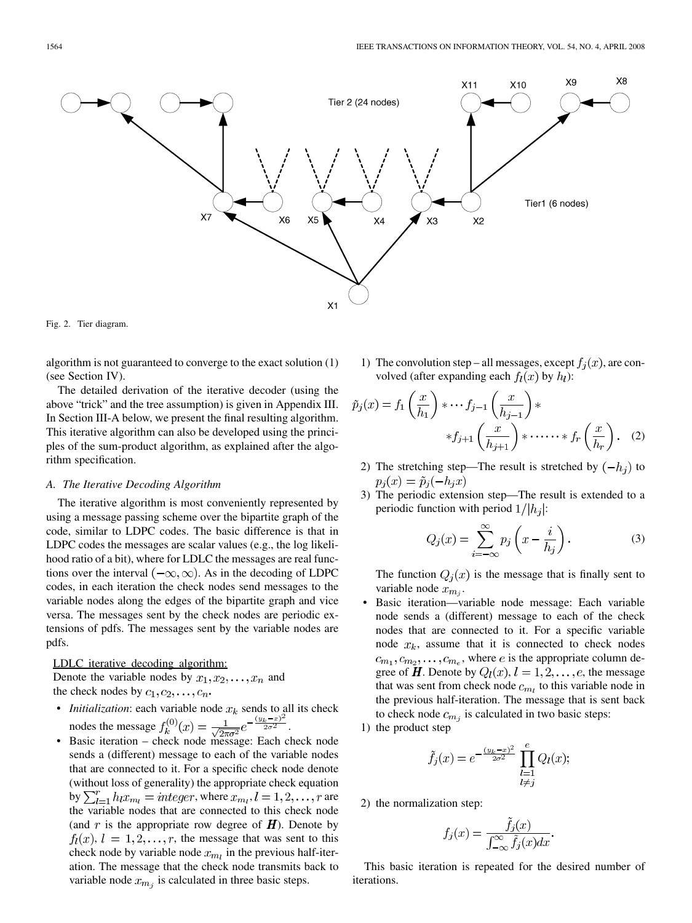

Fig. 2. Tier diagram.

algorithm is not guaranteed to converge to the exact solution (1) (see Section IV).

The detailed derivation of the iterative decoder (using the above "trick" and the tree assumption) is given in Appendix III. In Section III-A below, we present the final resulting algorithm. This iterative algorithm can also be developed using the principles of the sum-product algorithm, as explained after the algorithm specification.

#### *A. The Iterative Decoding Algorithm*

The iterative algorithm is most conveniently represented by using a message passing scheme over the bipartite graph of the code, similar to LDPC codes. The basic difference is that in LDPC codes the messages are scalar values (e.g., the log likelihood ratio of a bit), where for LDLC the messages are real functions over the interval  $(-\infty, \infty)$ . As in the decoding of LDPC codes, in each iteration the check nodes send messages to the variable nodes along the edges of the bipartite graph and vice versa. The messages sent by the check nodes are periodic extensions of pdfs. The messages sent by the variable nodes are pdfs.

#### LDLC iterative decoding algorithm:

Denote the variable nodes by  $x_1, x_2, \ldots, x_n$  and the check nodes by  $c_1, c_2, \ldots, c_n$ .

- *Initialization*: each variable node  $x_k$  sends to all its check nodes the message  $f_k^{(0)}(x) = \frac{1}{\sqrt{2\pi} \pi^2} e^{-\frac{(x-\mu)^2}{2\sigma^2}}$ .
- Basic iteration check node message: Each check node sends a (different) message to each of the variable nodes that are connected to it. For a specific check node denote (without loss of generality) the appropriate check equation by  $\sum_{l=1}^{r} h_l x_{m_l} = integer$ , where  $x_{m_l}$ ,  $l = 1, 2, \ldots, r$  are the variable nodes that are connected to this check node (and  $r$  is the appropriate row degree of  $H$ ). Denote by  $f_l(x)$ ,  $l = 1, 2, \ldots, r$ , the message that was sent to this check node by variable node  $x_{mi}$  in the previous half-iteration. The message that the check node transmits back to variable node  $x_{m_i}$  is calculated in three basic steps.

1) The convolution step – all messages, except  $f_i(x)$ , are convolved (after expanding each  $f_l(x)$  by  $h_l$ ):

$$
\tilde{p}_j(x) = f_1\left(\frac{x}{h_1}\right) * \cdots f_{j-1}\left(\frac{x}{h_{j-1}}\right) * \cdots * f_r\left(\frac{x}{h_r}\right) * \cdots * f_r\left(\frac{x}{h_r}\right). \tag{2}
$$

- 2) The stretching step—The result is stretched by  $(-h_i)$  to  $p_i(x) = \tilde{p}_i(-h_i x)$
- 3) The periodic extension step—The result is extended to a periodic function with period  $1/|h_i|$ :

$$
Q_j(x) = \sum_{i=-\infty}^{\infty} p_j\left(x - \frac{i}{h_j}\right).
$$
 (3)

The function  $Q_i(x)$  is the message that is finally sent to variable node  $x_{m_i}$ .

- Basic iteration—variable node message: Each variable node sends a (different) message to each of the check nodes that are connected to it. For a specific variable node  $x_k$ , assume that it is connected to check nodes  $(c_{m_1}, c_{m_2}, \ldots, c_{m_e})$ , where e is the appropriate column degree of  $H$ . Denote by  $Q_l(x)$ ,  $l = 1, 2, \ldots, e$ , the message that was sent from check node  $c_{m_l}$  to this variable node in the previous half-iteration. The message that is sent back to check node  $c_{m_i}$  is calculated in two basic steps:
- 1) the product step

$$
G_j(x) = e^{-\frac{(y_k - x)^2}{2\sigma^2}} \prod_{\substack{l=1 \ l \neq j}}^e Q_l(x);
$$

2) the normalization step:

Ĵ

$$
f_j(x) = \frac{\hat{f}_j(x)}{\int_{-\infty}^{\infty} \hat{f}_j(x)dx}
$$

This basic iteration is repeated for the desired number of iterations.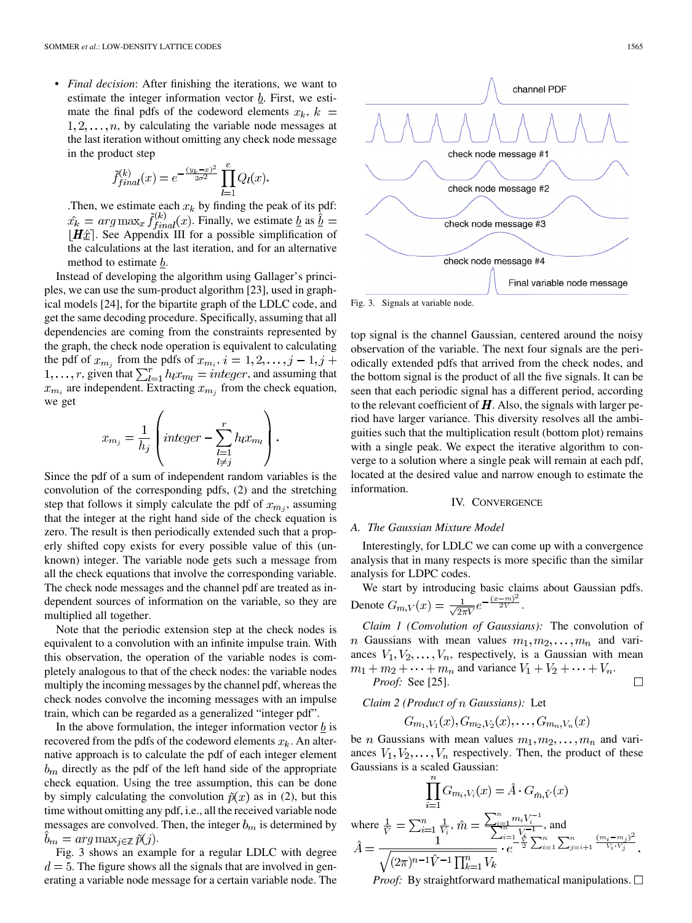j

• *Final decision*: After finishing the iterations, we want to estimate the integer information vector  $b$ . First, we estimate the final pdfs of the codeword elements  $x_k$ ,  $k =$  $1, 2, \ldots, n$ , by calculating the variable node messages at the last iteration without omitting any check node message in the product step

$$
\tilde{f}_{final}^{(k)}(x) = e^{-\frac{(y_k - x)^2}{2\sigma^2}} \prod_{l=1}^{e} Q_l(x)
$$

. Then, we estimate each  $x_k$  by finding the peak of its pdf:  $\hat{x_k} = arg \max_{x} \tilde{f}_{final}^{(k)}(x)$ . Finally, we estimate  $\underline{b}$  as  $\underline{\hat{b}} =$  $|H\hat{x}|$ . See Appendix III for a possible simplification of the calculations at the last iteration, and for an alternative method to estimate *.* 

Instead of developing the algorithm using Gallager's principles, we can use the sum-product algorithm [23], used in graphical models [24], for the bipartite graph of the LDLC code, and get the same decoding procedure. Specifically, assuming that all dependencies are coming from the constraints represented by the graph, the check node operation is equivalent to calculating the pdf of  $x_{m_i}$  from the pdfs of  $x_{m_i}$ ,  $i = 1, 2, \dots, j - 1, j + 1$  $1, \ldots, r$ , given that  $\sum_{l=1}^{r} h_l x_{m_l} = integer$ , and assuming that  $x_{m_i}$  are independent. Extracting  $x_{m_i}$  from the check equation, we get

$$
x_{m_j} = \frac{1}{h_j} \left( \text{integer} - \sum_{\substack{l=1 \\ l \neq j}}^r h_l x_{m_l} \right).
$$

Since the pdf of a sum of independent random variables is the convolution of the corresponding pdfs, (2) and the stretching step that follows it simply calculate the pdf of  $x_{m_i}$ , assuming that the integer at the right hand side of the check equation is zero. The result is then periodically extended such that a properly shifted copy exists for every possible value of this (unknown) integer. The variable node gets such a message from all the check equations that involve the corresponding variable. The check node messages and the channel pdf are treated as independent sources of information on the variable, so they are multiplied all together.

Note that the periodic extension step at the check nodes is equivalent to a convolution with an infinite impulse train. With this observation, the operation of the variable nodes is completely analogous to that of the check nodes: the variable nodes multiply the incoming messages by the channel pdf, whereas the check nodes convolve the incoming messages with an impulse train, which can be regarded as a generalized "integer pdf".

In the above formulation, the integer information vector  $\underline{b}$  is recovered from the pdfs of the codeword elements  $x_k$ . An alternative approach is to calculate the pdf of each integer element  $b<sub>m</sub>$  directly as the pdf of the left hand side of the appropriate check equation. Using the tree assumption, this can be done by simply calculating the convolution  $\tilde{p}(x)$  as in (2), but this time without omitting any pdf, i.e., all the received variable node messages are convolved. Then, the integer  $b_m$  is determined by  $b_m = arg \max_{j \in \mathbb{Z}} \tilde{p}(j).$ 

Fig. 3 shows an example for a regular LDLC with degree  $d = 5$ . The figure shows all the signals that are involved in generating a variable node message for a certain variable node. The



Fig. 3. Signals at variable node.

top signal is the channel Gaussian, centered around the noisy observation of the variable. The next four signals are the periodically extended pdfs that arrived from the check nodes, and the bottom signal is the product of all the five signals. It can be seen that each periodic signal has a different period, according to the relevant coefficient of  $H$ . Also, the signals with larger period have larger variance. This diversity resolves all the ambiguities such that the multiplication result (bottom plot) remains with a single peak. We expect the iterative algorithm to converge to a solution where a single peak will remain at each pdf, located at the desired value and narrow enough to estimate the information.

#### IV. CONVERGENCE

#### *A. The Gaussian Mixture Model*

Interestingly, for LDLC we can come up with a convergence analysis that in many respects is more specific than the similar analysis for LDPC codes.

We start by introducing basic claims about Gaussian pdfs. Denote  $G_{m,V}(x) = \frac{1}{\sqrt{2\pi V}}e^{-\frac{(x-m)^2}{2V}}$ .

*Claim 1 (Convolution of Gaussians):* The convolution of *n* Gaussians with mean values  $m_1, m_2, \ldots, m_n$  and variances  $V_1, V_2, \ldots, V_n$ , respectively, is a Gaussian with mean  $m_1 + m_2 + \cdots + m_n$  and variance  $V_1 + V_2 + \cdots + V_n$ .

*Proof:* See [25].

 $\Box$ 

*Claim 2 (Product of Gaussians):* Let

$$
G_{m_1,V_1}(x),G_{m_2,V_2}(x),\ldots,G_{m_n,V_n}(x)
$$

be *n* Gaussians with mean values  $m_1, m_2, \ldots, m_n$  and variances  $V_1, V_2, \ldots, V_n$  respectively. Then, the product of these Gaussians is a scaled Gaussian:

$$
\prod_{i=1}^{n} G_{m_i, V_i}(x) = \hat{A} \cdot G_{\hat{m}, \hat{V}}(x)
$$
\nwhere  $\frac{1}{\hat{V}} = \sum_{i=1}^{n} \frac{1}{V_i}, \hat{m} = \frac{\sum_{i=1}^{n} m_i V_i^{-1}}{\sum_{i=1}^{n} V_i^{-1}},$  and\n
$$
\hat{A} = \frac{1}{\sqrt{(2\pi)^{n-1}\hat{V}}^{-1} \prod_{k=1}^{n} V_k}
$$

*Proof:* By straightforward mathematical manipulations.  $\Box$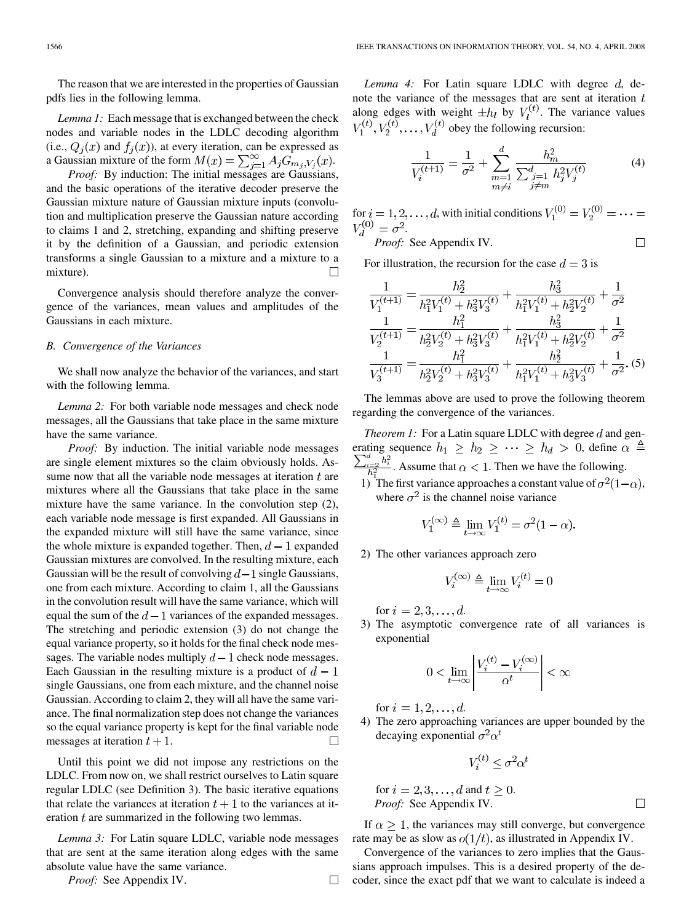The reason that we are interested in the properties of Gaussian pdfs lies in the following lemma.

*Lemma 1:* Each message that is exchanged between the check nodes and variable nodes in the LDLC decoding algorithm (i.e.,  $Q_i(x)$  and  $f_i(x)$ ), at every iteration, can be expressed as a Gaussian mixture of the form  $M(x) = \sum_{j=1}^{\infty} A_j G_{m_j, V_j}(x)$ .

*Proof:* By induction: The initial messages are Gaussians, and the basic operations of the iterative decoder preserve the Gaussian mixture nature of Gaussian mixture inputs (convolution and multiplication preserve the Gaussian nature according to claims 1 and 2, stretching, expanding and shifting preserve it by the definition of a Gaussian, and periodic extension transforms a single Gaussian to a mixture and a mixture to a mixture).  $\Box$ 

Convergence analysis should therefore analyze the convergence of the variances, mean values and amplitudes of the Gaussians in each mixture.

#### *B. Convergence of the Variances*

We shall now analyze the behavior of the variances, and start with the following lemma.

*Lemma 2:* For both variable node messages and check node messages, all the Gaussians that take place in the same mixture have the same variance.

*Proof:* By induction. The initial variable node messages are single element mixtures so the claim obviously holds. Assume now that all the variable node messages at iteration  $t$  are mixtures where all the Gaussians that take place in the same mixture have the same variance. In the convolution step (2), each variable node message is first expanded. All Gaussians in the expanded mixture will still have the same variance, since the whole mixture is expanded together. Then,  $d-1$  expanded Gaussian mixtures are convolved. In the resulting mixture, each Gaussian will be the result of convolving  $d-1$  single Gaussians, one from each mixture. According to claim 1, all the Gaussians in the convolution result will have the same variance, which will equal the sum of the  $d-1$  variances of the expanded messages. The stretching and periodic extension (3) do not change the equal variance property, so it holds for the final check node messages. The variable nodes multiply  $d-1$  check node messages. Each Gaussian in the resulting mixture is a product of  $d-1$ single Gaussians, one from each mixture, and the channel noise Gaussian. According to claim 2, they will all have the same variance. The final normalization step does not change the variances so the equal variance property is kept for the final variable node messages at iteration  $t + 1$ .  $\Box$ 

Until this point we did not impose any restrictions on the LDLC. From now on, we shall restrict ourselves to Latin square regular LDLC (see Definition 3). The basic iterative equations that relate the variances at iteration  $t+1$  to the variances at iteration  $t$  are summarized in the following two lemmas.

*Lemma 3:* For Latin square LDLC, variable node messages that are sent at the same iteration along edges with the same absolute value have the same variance.

*Proof:* See Appendix IV.

Lemma 4: For Latin square LDLC with degree d, denote the variance of the messages that are sent at iteration  $t$ along edges with weight  $\pm h_l$  by  $V_l^{(t)}$ . The variance values  $V_1^{(t)}$ ,  $V_2^{(t)}$ , ...,  $V_d^{(t)}$  obey the following recursion:

$$
\frac{1}{V_i^{(t+1)}} = \frac{1}{\sigma^2} + \sum_{\substack{m=1 \ m \neq i}}^d \frac{h_m^2}{\sum_{\substack{j=1 \ j \neq m}}^d h_j^2 V_j^{(t)}} \tag{4}
$$

for  $i = 1, 2, \dots, d$ , with initial conditions .  $\Box$ 

*Proof:* See Appendix IV.

For illustration, the recursion for the case  $d = 3$  is

$$
\frac{1}{V_1^{(t+1)}} = \frac{h_2^2}{h_1^2 V_1^{(t)} + h_3^2 V_3^{(t)}} + \frac{h_3^2}{h_1^2 V_1^{(t)} + h_2^2 V_2^{(t)}} + \frac{1}{\sigma^2}
$$
\n
$$
\frac{1}{V_2^{(t+1)}} = \frac{h_1^2}{h_2^2 V_2^{(t)} + h_3^2 V_3^{(t)}} + \frac{h_3^2}{h_1^2 V_1^{(t)} + h_2^2 V_2^{(t)}} + \frac{1}{\sigma^2}
$$
\n
$$
\frac{1}{V_3^{(t+1)}} = \frac{h_1^2}{h_2^2 V_2^{(t)} + h_3^2 V_3^{(t)}} + \frac{h_2^2}{h_1^2 V_1^{(t)} + h_3^2 V_3^{(t)}} + \frac{1}{\sigma^2}.
$$
\n(5)

The lemmas above are used to prove the following theorem regarding the convergence of the variances.

*Theorem 1:* For a Latin square LDLC with degree  $d$  and generating sequence  $h_1 \geq h_2 \geq \cdots \geq h_d > 0$ , define  $\alpha \triangleq$ . Assume that  $\alpha < 1$ . Then we have the following.

1) The first variance approaches a constant value of  $\sigma^2(1-\alpha)$ , where  $\sigma^2$  is the channel noise variance

$$
V_1^{(\infty)} \triangleq \lim_{t \to \infty} V_1^{(t)} = \sigma^2 (1 - \alpha).
$$

2) The other variances approach zero

$$
V_i^{(\infty)} \triangleq \lim_{t \to \infty} V_i^{(t)} = 0
$$

for  $i = 2, 3, ..., d$ .

3) The asymptotic convergence rate of all variances is exponential

$$
0<\lim_{t\to\infty}\left|\frac{V_i^{(t)}-V_i^{(\infty)}}{\alpha^t}\right|<\infty
$$

for  $i = 1, 2, ..., d$ .

4) The zero approaching variances are upper bounded by the decaying exponential  $\sigma^2 \alpha^t$ 

$$
V_i^{(t)} \le \sigma^2 \alpha^t
$$

for 
$$
i = 2, 3, ..., d
$$
 and  $t \ge 0$ .  
\n*Proof:* See Appendix IV.

If  $\alpha \geq 1$ , the variances may still converge, but convergence rate may be as slow as  $o(1/t)$ , as illustrated in Appendix IV.

Convergence of the variances to zero implies that the Gaussians approach impulses. This is a desired property of the decoder, since the exact pdf that we want to calculate is indeed a

 $\Box$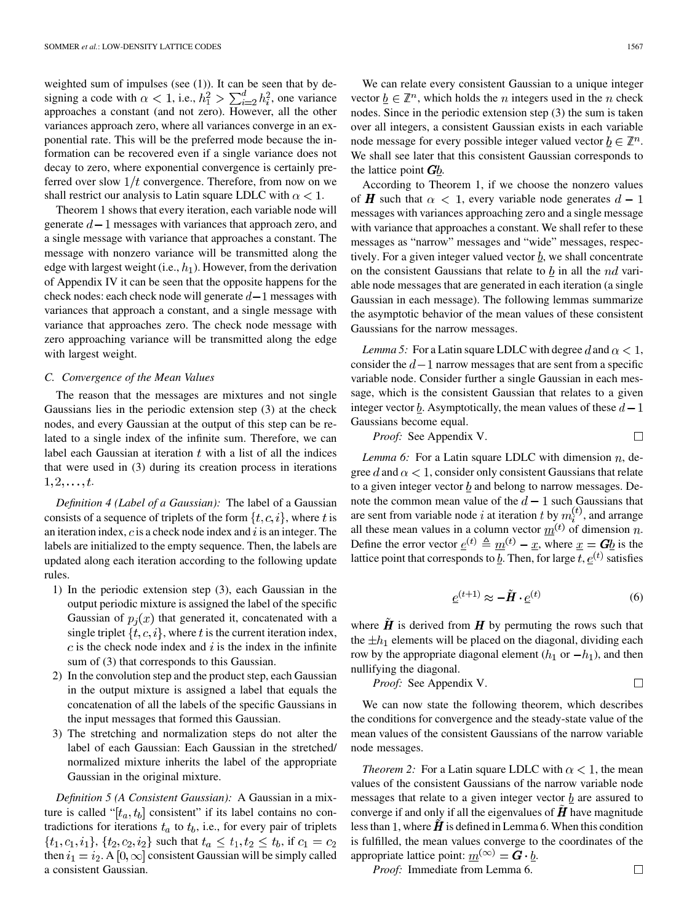weighted sum of impulses (see (1)). It can be seen that by designing a code with  $\alpha < 1$ , i.e.,  $h_1^2 > \sum_{i=2}^d h_i^2$ , one variance approaches a constant (and not zero). However, all the other variances approach zero, where all variances converge in an exponential rate. This will be the preferred mode because the information can be recovered even if a single variance does not decay to zero, where exponential convergence is certainly preferred over slow  $1/t$  convergence. Therefore, from now on we shall restrict our analysis to Latin square LDLC with  $\alpha < 1$ .

Theorem 1 shows that every iteration, each variable node will generate  $d-1$  messages with variances that approach zero, and a single message with variance that approaches a constant. The message with nonzero variance will be transmitted along the edge with largest weight (i.e.,  $h_1$ ). However, from the derivation of Appendix IV it can be seen that the opposite happens for the check nodes: each check node will generate  $d-1$  messages with variances that approach a constant, and a single message with variance that approaches zero. The check node message with zero approaching variance will be transmitted along the edge with largest weight.

#### *C. Convergence of the Mean Values*

The reason that the messages are mixtures and not single Gaussians lies in the periodic extension step (3) at the check nodes, and every Gaussian at the output of this step can be related to a single index of the infinite sum. Therefore, we can label each Gaussian at iteration  $t$  with a list of all the indices that were used in (3) during its creation process in iterations  $1, 2, \ldots, t.$ 

*Definition 4 (Label of a Gaussian):* The label of a Gaussian consists of a sequence of triplets of the form  $\{t, c, i\}$ , where t is an iteration index,  $c$  is a check node index and  $i$  is an integer. The labels are initialized to the empty sequence. Then, the labels are updated along each iteration according to the following update rules.

- 1) In the periodic extension step (3), each Gaussian in the output periodic mixture is assigned the label of the specific Gaussian of  $p_i(x)$  that generated it, concatenated with a single triplet  $\{t, c, i\}$ , where t is the current iteration index,  $c$  is the check node index and  $i$  is the index in the infinite sum of (3) that corresponds to this Gaussian.
- 2) In the convolution step and the product step, each Gaussian in the output mixture is assigned a label that equals the concatenation of all the labels of the specific Gaussians in the input messages that formed this Gaussian.
- 3) The stretching and normalization steps do not alter the label of each Gaussian: Each Gaussian in the stretched/ normalized mixture inherits the label of the appropriate Gaussian in the original mixture.

*Definition 5 (A Consistent Gaussian):* A Gaussian in a mixture is called " $[t_a, t_b]$  consistent" if its label contains no contradictions for iterations  $t_a$  to  $t_b$ , i.e., for every pair of triplets  $\{t_1, c_1, i_1\}, \{t_2, c_2, i_2\}$  such that  $t_a \leq t_1, t_2 \leq t_b$ , if  $c_1 = c_2$ then  $i_1 = i_2$ . A  $[0, \infty]$  consistent Gaussian will be simply called a consistent Gaussian.

We can relate every consistent Gaussian to a unique integer vector  $b \in \mathbb{Z}^n$ , which holds the *n* integers used in the *n* check nodes. Since in the periodic extension step (3) the sum is taken over all integers, a consistent Gaussian exists in each variable node message for every possible integer valued vector  $\underline{b} \in \mathbb{Z}^n$ . We shall see later that this consistent Gaussian corresponds to the lattice point  $Gb$ .

According to Theorem 1, if we choose the nonzero values of **H** such that  $\alpha < 1$ , every variable node generates  $d - 1$ messages with variances approaching zero and a single message with variance that approaches a constant. We shall refer to these messages as "narrow" messages and "wide" messages, respectively. For a given integer valued vector  $\underline{b}$ , we shall concentrate on the consistent Gaussians that relate to  $\underline{b}$  in all the *nd* variable node messages that are generated in each iteration (a single Gaussian in each message). The following lemmas summarize the asymptotic behavior of the mean values of these consistent Gaussians for the narrow messages.

*Lemma 5:* For a Latin square LDLC with degree d and  $\alpha < 1$ , consider the  $d-1$  narrow messages that are sent from a specific variable node. Consider further a single Gaussian in each message, which is the consistent Gaussian that relates to a given integer vector  $\underline{b}$ . Asymptotically, the mean values of these  $d-1$ Gaussians become equal.

*Proof:* See Appendix V.

*Lemma 6:* For a Latin square LDLC with dimension  $n$ , degree d and  $\alpha < 1$ , consider only consistent Gaussians that relate to a given integer vector  $b$  and belong to narrow messages. Denote the common mean value of the  $d-1$  such Gaussians that are sent from variable node i at iteration t by  $m_i^{(t)}$ , and arrange all these mean values in a column vector  $\overline{m}^{(t)}$  of dimension n. Define the error vector  $\underline{e}^{(t)} \triangleq \underline{m}^{(t)} - \underline{x}$ , where  $\underline{x} = G\underline{b}$  is the lattice point that corresponds to  $\underline{b}$ . Then, for large  $t, \underline{e}^{(t)}$  satisfies

$$
\underline{e}^{(t+1)} \approx -\tilde{H} \cdot \underline{e}^{(t)} \tag{6}
$$

where  $\hat{H}$  is derived from  $H$  by permuting the rows such that the  $\pm h_1$  elements will be placed on the diagonal, dividing each row by the appropriate diagonal element  $(h_1 \text{ or } -h_1)$ , and then nullifying the diagonal.

*Proof:* See Appendix V. 
$$
\Box
$$

We can now state the following theorem, which describes the conditions for convergence and the steady-state value of the mean values of the consistent Gaussians of the narrow variable node messages.

*Theorem 2:* For a Latin square LDLC with  $\alpha < 1$ , the mean values of the consistent Gaussians of the narrow variable node messages that relate to a given integer vector  $\underline{b}$  are assured to converge if and only if all the eigenvalues of  $\boldsymbol{H}$  have magnitude less than 1, where  $H$  is defined in Lemma 6. When this condition is fulfilled, the mean values converge to the coordinates of the appropriate lattice point:  $m^{(\infty)} = G \cdot b$ .

*Proof:* Immediate from Lemma 6.

 $\Box$ 

 $\Box$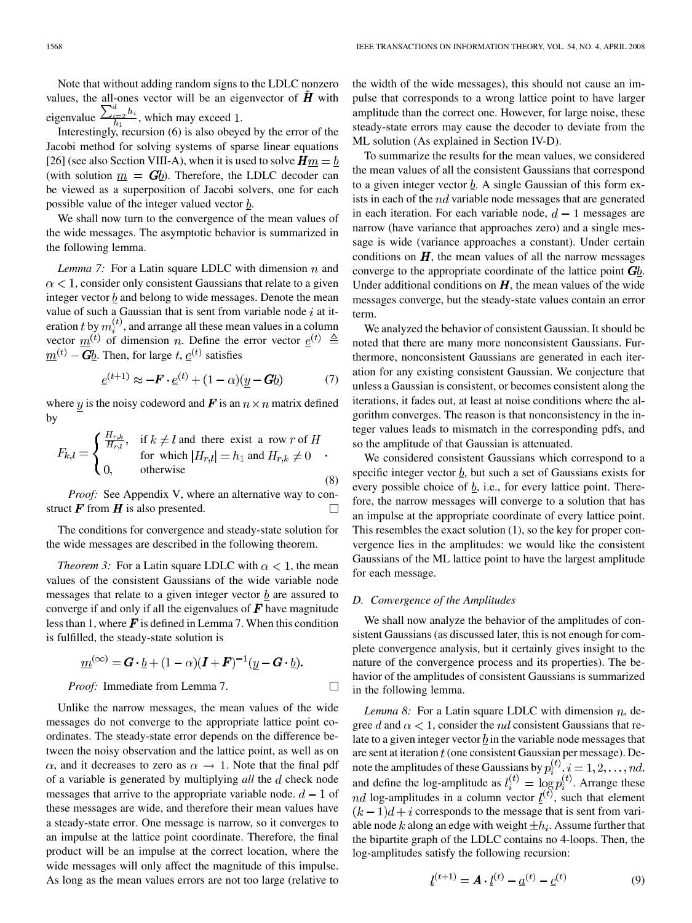Note that without adding random signs to the LDLC nonzero values, the all-ones vector will be an eigenvector of  $\boldsymbol{H}$  with eigenvalue  $\frac{\sum_{i=2}^{n} v_i}{h_i}$ , which may exceed 1.

Interestingly, recursion (6) is also obeyed by the error of the Jacobi method for solving systems of sparse linear equations [26] (see also Section VIII-A), when it is used to solve  $Hm = b$ (with solution  $m = G_b$ ). Therefore, the LDLC decoder can be viewed as a superposition of Jacobi solvers, one for each possible value of the integer valued vector  $\underline{b}$ .

We shall now turn to the convergence of the mean values of the wide messages. The asymptotic behavior is summarized in the following lemma.

*Lemma 7:* For a Latin square LDLC with dimension  $n$  and  $\alpha$  < 1, consider only consistent Gaussians that relate to a given integer vector  $b$  and belong to wide messages. Denote the mean value of such a Gaussian that is sent from variable node  $i$  at iteration t by  $m_i^{(t)}$ , and arrange all these mean values in a column vector  $\underline{m}^{(t)}$  of dimension *n*. Define the error vector  $\underline{e}^{(t)} \triangleq$  $m^{(t)}$  – Gb. Then, for large t,  $e^{(t)}$  satisfies

$$
\underline{e}^{(t+1)} \approx -\boldsymbol{F} \cdot \underline{e}^{(t)} + (1-\alpha)(\underline{y} - \boldsymbol{G}\underline{b}) \tag{7}
$$

where y is the noisy codeword and F is an  $n \times n$  matrix defined by

$$
F_{k,l} = \begin{cases} \frac{H_{r,k}}{H_{r,l}}, & \text{if } k \neq l \text{ and there exist a row } r \text{ of } H \\ \text{for which } |H_{r,l}| = h_1 \text{ and } H_{r,k} \neq 0 \\ 0, & \text{otherwise} \end{cases}
$$
(8)

*Proof:* See Appendix V, where an alternative way to construct  $\boldsymbol{F}$  from  $\boldsymbol{H}$  is also presented.  $\Box$ 

The conditions for convergence and steady-state solution for the wide messages are described in the following theorem.

*Theorem 3:* For a Latin square LDLC with  $\alpha < 1$ , the mean values of the consistent Gaussians of the wide variable node messages that relate to a given integer vector  $\underline{b}$  are assured to converge if and only if all the eigenvalues of  $\bm{F}$  have magnitude less than 1, where  $\mathbf{F}$  is defined in Lemma 7. When this condition is fulfilled, the steady-state solution is

$$
\underline{m}^{(\infty)} = \mathbf{G} \cdot \underline{b} + (1 - \alpha)(\mathbf{I} + \mathbf{F})^{-1}(\underline{y} - \mathbf{G} \cdot \underline{b}).
$$
  
Proof: Immediately the formula 7.

Unlike the narrow messages, the mean values of the wide messages do not converge to the appropriate lattice point coordinates. The steady-state error depends on the difference between the noisy observation and the lattice point, as well as on  $\alpha$ , and it decreases to zero as  $\alpha \rightarrow 1$ . Note that the final pdf of a variable is generated by multiplying *all* the d check node messages that arrive to the appropriate variable node.  $d-1$  of these messages are wide, and therefore their mean values have a steady-state error. One message is narrow, so it converges to an impulse at the lattice point coordinate. Therefore, the final product will be an impulse at the correct location, where the wide messages will only affect the magnitude of this impulse. As long as the mean values errors are not too large (relative to

the width of the wide messages), this should not cause an impulse that corresponds to a wrong lattice point to have larger amplitude than the correct one. However, for large noise, these steady-state errors may cause the decoder to deviate from the ML solution (As explained in Section IV-D).

To summarize the results for the mean values, we considered the mean values of all the consistent Gaussians that correspond to a given integer vector  $\underline{b}$ . A single Gaussian of this form exists in each of the  $nd$  variable node messages that are generated in each iteration. For each variable node,  $d-1$  messages are narrow (have variance that approaches zero) and a single message is wide (variance approaches a constant). Under certain conditions on  $H$ , the mean values of all the narrow messages converge to the appropriate coordinate of the lattice point  $\mathbf{G}b$ . Under additional conditions on  $H$ , the mean values of the wide messages converge, but the steady-state values contain an error term.

We analyzed the behavior of consistent Gaussian. It should be noted that there are many more nonconsistent Gaussians. Furthermore, nonconsistent Gaussians are generated in each iteration for any existing consistent Gaussian. We conjecture that unless a Gaussian is consistent, or becomes consistent along the iterations, it fades out, at least at noise conditions where the algorithm converges. The reason is that nonconsistency in the integer values leads to mismatch in the corresponding pdfs, and so the amplitude of that Gaussian is attenuated.

We considered consistent Gaussians which correspond to a specific integer vector  $\underline{b}$ , but such a set of Gaussians exists for every possible choice of  $b$ , i.e., for every lattice point. Therefore, the narrow messages will converge to a solution that has an impulse at the appropriate coordinate of every lattice point. This resembles the exact solution (1), so the key for proper convergence lies in the amplitudes: we would like the consistent Gaussians of the ML lattice point to have the largest amplitude for each message.

# *D. Convergence of the Amplitudes*

We shall now analyze the behavior of the amplitudes of consistent Gaussians (as discussed later, this is not enough for complete convergence analysis, but it certainly gives insight to the nature of the convergence process and its properties). The behavior of the amplitudes of consistent Gaussians is summarized in the following lemma.

*Lemma 8:* For a Latin square LDLC with dimension  $n$ , degree d and  $\alpha < 1$ , consider the *nd* consistent Gaussians that relate to a given integer vector  $\underline{b}$  in the variable node messages that are sent at iteration  $t$  (one consistent Gaussian per message). Denote the amplitudes of these Gaussians by  $p_i^{(i)}$ ,  $i = 1, 2, \ldots, nd$ , and define the log-amplitude as  $l_i^{(\ell)} = \log p_i^{(\ell)}$ . Arrange these log-amplitudes in a column vector  $l^{(t)}$ , such that element  $(k-1)d + i$  corresponds to the message that is sent from variable node k along an edge with weight  $\pm h_i$ . Assume further that the bipartite graph of the LDLC contains no 4-loops. Then, the log-amplitudes satisfy the following recursion:

$$
\underline{l}^{(t+1)} = A \cdot \underline{l}^{(t)} - \underline{a}^{(t)} - \underline{c}^{(t)}
$$
(9)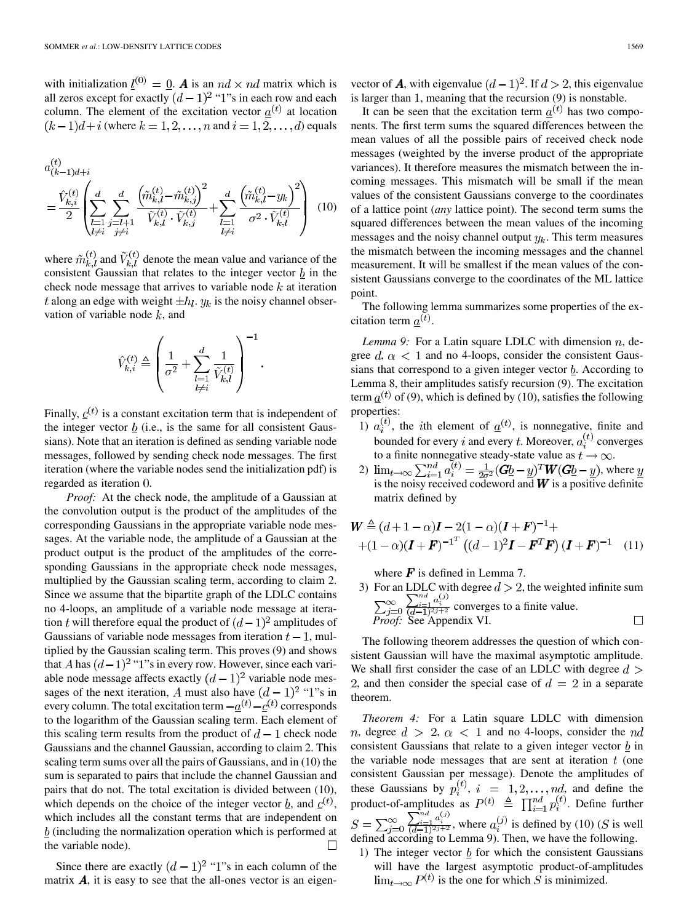with initialization  $\underline{l}^{(0)} = \underline{0}$ . **A** is an  $nd \times nd$  matrix which is all zeros except for exactly  $(d-1)^2$  "1"s in each row and each column. The element of the excitation vector  $\underline{a}^{(t)}$  at location  $(k-1)d + i$  (where  $k = 1, 2, \ldots, n$  and  $i = 1, 2, \ldots, d$ ) equals

$$
a_{(k-1)d+i}^{(t)} = \frac{\hat{V}_{k,i}^{(t)}}{2} \left( \sum_{\substack{l=1 \ l \neq i}}^d \sum_{\substack{j=l+1 \ j \neq i}}^d \frac{\left( \tilde{m}_{k,l}^{(t)} - \tilde{m}_{k,j}^{(t)} \right)^2}{\tilde{V}_{k,l}^{(t)} \cdot \tilde{V}_{k,j}^{(t)}} + \sum_{\substack{l=1 \ l \neq i}}^d \frac{\left( \tilde{m}_{k,l}^{(t)} - y_k \right)^2}{\sigma^2 \cdot \tilde{V}_{k,l}^{(t)}} \right) (10)
$$

where  $\tilde{m}_{k,l}^{(t)}$  and  $\tilde{V}_{k,l}^{(t)}$  denote the mean value and variance of the consistent Gaussian that relates to the integer vector  $\underline{b}$  in the check node message that arrives to variable node  $k$  at iteration t along an edge with weight  $\pm h_l$ .  $y_k$  is the noisy channel observation of variable node  $k$ , and

 $\mathbf{1}$ 

$$
\hat{V}_{k,i}^{(t)} \triangleq \left(\frac{1}{\sigma^2} + \sum_{\substack{l=1 \ l \neq i}}^d \frac{1}{\tilde{V}_{k,l}^{(t)}}\right)^{-1}
$$

Finally,  $c^{(t)}$  is a constant excitation term that is independent of the integer vector  $b$  (i.e., is the same for all consistent Gaussians). Note that an iteration is defined as sending variable node messages, followed by sending check node messages. The first iteration (where the variable nodes send the initialization pdf) is regarded as iteration 0.

*Proof:* At the check node, the amplitude of a Gaussian at the convolution output is the product of the amplitudes of the corresponding Gaussians in the appropriate variable node messages. At the variable node, the amplitude of a Gaussian at the product output is the product of the amplitudes of the corresponding Gaussians in the appropriate check node messages, multiplied by the Gaussian scaling term, according to claim 2. Since we assume that the bipartite graph of the LDLC contains no 4-loops, an amplitude of a variable node message at iteration t will therefore equal the product of  $(d-1)^2$  amplitudes of Gaussians of variable node messages from iteration  $t - 1$ , multiplied by the Gaussian scaling term. This proves (9) and shows that A has  $(d-1)^2$  "1"s in every row. However, since each variable node message affects exactly  $(d-1)^2$  variable node messages of the next iteration, A must also have  $(d-1)^2$  "1"s in every column. The total excitation term  $-\underline{a}^{(t)} - \underline{c}^{(t)}$  corresponds to the logarithm of the Gaussian scaling term. Each element of this scaling term results from the product of  $d-1$  check node Gaussians and the channel Gaussian, according to claim 2. This scaling term sums over all the pairs of Gaussians, and in (10) the sum is separated to pairs that include the channel Gaussian and pairs that do not. The total excitation is divided between (10), which depends on the choice of the integer vector b, and  $c^{(t)}$ , which includes all the constant terms that are independent on  $b$  (including the normalization operation which is performed at the variable node). П

Since there are exactly  $(d-1)^2$  "1"s in each column of the matrix  $\vec{A}$ , it is easy to see that the all-ones vector is an eigenvector of **A**, with eigenvalue  $(d-1)^2$ . If  $d > 2$ , this eigenvalue is larger than  $1$ , meaning that the recursion  $(9)$  is nonstable.

It can be seen that the excitation term  $\underline{a}^{(t)}$  has two components. The first term sums the squared differences between the mean values of all the possible pairs of received check node messages (weighted by the inverse product of the appropriate variances). It therefore measures the mismatch between the incoming messages. This mismatch will be small if the mean values of the consistent Gaussians converge to the coordinates of a lattice point (*any* lattice point). The second term sums the squared differences between the mean values of the incoming messages and the noisy channel output  $y_k$ . This term measures the mismatch between the incoming messages and the channel measurement. It will be smallest if the mean values of the consistent Gaussians converge to the coordinates of the ML lattice point.

The following lemma summarizes some properties of the excitation term  $a^{(t)}$ .

*Lemma 9:* For a Latin square LDLC with dimension  $n$ , degree  $d, \alpha < 1$  and no 4-loops, consider the consistent Gaussians that correspond to a given integer vector  $\underline{b}$ . According to Lemma 8, their amplitudes satisfy recursion (9). The excitation term  $\underline{a}^{(t)}$  of (9), which is defined by (10), satisfies the following properties:

- 1)  $a_i^{(t)}$ , the *i*th element of  $\underline{a}^{(t)}$ , is nonnegative, finite and bounded for every i and every t. Moreover,  $a_i^{(t)}$  converges to a finite nonnegative steady-state value as  $t \to \infty$ .
- 2)  $\lim_{t\to\infty}\sum_{i=1}^{na} a_i^{(t)} = \frac{1}{2\sigma^2} (Gb y)^T W (Gb y)$ , where is the noisy received codeword and  $W$  is a positive definite matrix defined by

$$
\mathbf{W} \triangleq (d+1-\alpha)\mathbf{I} - 2(1-\alpha)(\mathbf{I} + \mathbf{F})^{-1} +
$$
  
+(1-\alpha)(\mathbf{I} + \mathbf{F})^{-1^T} ((d-1)^2 \mathbf{I} - \mathbf{F}^T \mathbf{F}) (\mathbf{I} + \mathbf{F})^{-1} (11)

where  $\boldsymbol{F}$  is defined in Lemma 7.

3) For an LDLC with degree  $d > 2$ , the weighted infinite sum converges to a finite value. *Proof:* See Appendix VI.

The following theorem addresses the question of which consistent Gaussian will have the maximal asymptotic amplitude. We shall first consider the case of an LDLC with degree  $d >$ 2, and then consider the special case of  $d = 2$  in a separate theorem.

*Theorem 4:* For a Latin square LDLC with dimension n, degree  $d > 2$ ,  $\alpha < 1$  and no 4-loops, consider the nd consistent Gaussians that relate to a given integer vector  $\underline{b}$  in the variable node messages that are sent at iteration  $t$  (one consistent Gaussian per message). Denote the amplitudes of these Gaussians by  $p_i^{(t)}$ ,  $i = 1, 2, ..., nd$ , and define the product-of-amplitudes as  $P^{(t)} \triangleq \prod_{i=1}^{na} p_i^{(t)}$ . Define further , where  $a_i^{(J)}$  is defined by (10) (S is well defined according to Lemma 9). Then, we have the following.

1) The integer vector  $\underline{b}$  for which the consistent Gaussians will have the largest asymptotic product-of-amplitudes  $\lim_{t\to\infty} P^{(t)}$  is the one for which S is minimized.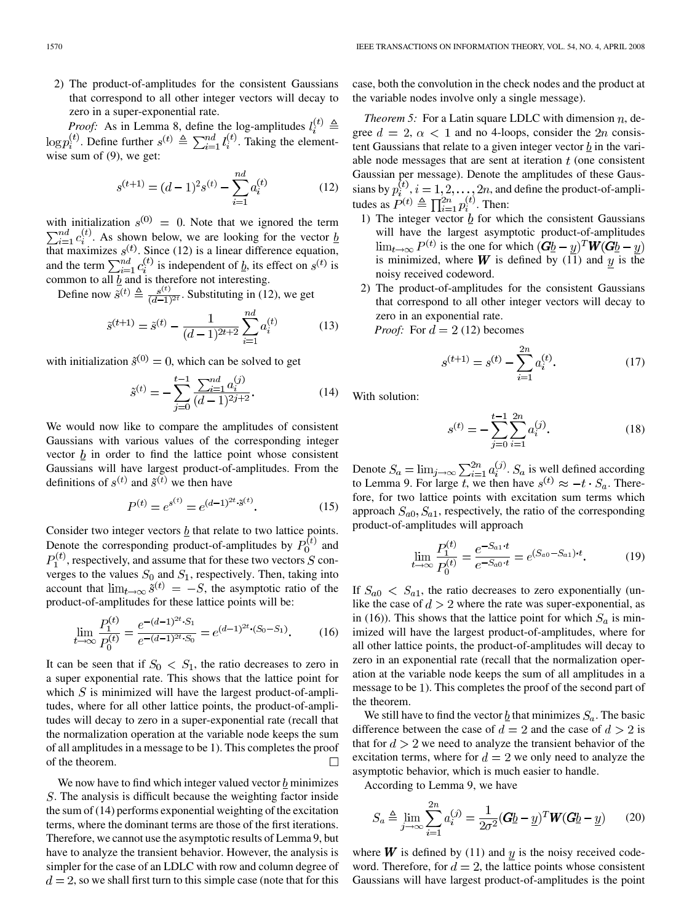2) The product-of-amplitudes for the consistent Gaussians that correspond to all other integer vectors will decay to zero in a super-exponential rate.

*Proof:* As in Lemma 8, define the log-amplitudes . Define further  $s^{(t)} \triangleq \sum_{i=1}^{na} l_i^{(t)}$ . Taking the elementwise sum of (9), we get:

$$
s^{(t+1)} = (d-1)^2 s^{(t)} - \sum_{i=1}^{nd} a_i^{(t)}
$$
 (12)

with initialization  $s^{(0)} = 0$ . Note that we ignored the term . As shown below, we are looking for the vector that maximizes  $s^{(t)}$ . Since (12) is a linear difference equation, and the term  $\sum_{i=1}^{na} c_i^{(i)}$  is independent of  $b$ , its effect on  $s^{(t)}$  is common to all  $\underline{b}$  and is therefore not interesting.

Define now  $\tilde{s}^{(t)} \triangleq \frac{s^{(t)}}{(d-1)^{2t}}$ . Substituting in (12), we get

$$
\tilde{s}^{(t+1)} = \tilde{s}^{(t)} - \frac{1}{(d-1)^{2t+2}} \sum_{i=1}^{nd} a_i^{(t)} \tag{13}
$$

with initialization  $\tilde{s}^{(0)} = 0$ , which can be solved to get

$$
\tilde{s}^{(t)} = -\sum_{j=0}^{t-1} \frac{\sum_{i=1}^{nd} a_i^{(j)}}{(d-1)^{2j+2}}.
$$
\n(14)

We would now like to compare the amplitudes of consistent Gaussians with various values of the corresponding integer vector  $b$  in order to find the lattice point whose consistent Gaussians will have largest product-of-amplitudes. From the definitions of  $s^{(t)}$  and  $\tilde{s}^{(t)}$  we then have

$$
P^{(t)} = e^{s^{(t)}} = e^{(d-1)^{2t} \cdot \tilde{s}^{(t)}}.
$$
\n(15)

Consider two integer vectors  $\underline{b}$  that relate to two lattice points. Denote the corresponding product-of-amplitudes by  $P_0^{(t)}$  and  $P_1^{(t)}$ , respectively, and assume that for these two vectors S converges to the values  $S_0$  and  $S_1$ , respectively. Then, taking into account that  $\lim_{t\to\infty} \tilde{s}^{(t)} = -S$ , the asymptotic ratio of the product-of-amplitudes for these lattice points will be:

$$
\lim_{t \to \infty} \frac{P_1^{(t)}}{P_0^{(t)}} = \frac{e^{-(d-1)^{2t} \cdot S_1}}{e^{-(d-1)^{2t} \cdot S_0}} = e^{(d-1)^{2t} \cdot (S_0 - S_1)}.
$$
 (16)

It can be seen that if  $S_0 < S_1$ , the ratio decreases to zero in a super exponential rate. This shows that the lattice point for which  $S$  is minimized will have the largest product-of-amplitudes, where for all other lattice points, the product-of-amplitudes will decay to zero in a super-exponential rate (recall that the normalization operation at the variable node keeps the sum of all amplitudes in a message to be 1). This completes the proof of the theorem.  $\Box$ 

We now have to find which integer valued vector  $\underline{b}$  minimizes . The analysis is difficult because the weighting factor inside the sum of (14) performs exponential weighting of the excitation terms, where the dominant terms are those of the first iterations. Therefore, we cannot use the asymptotic results of Lemma 9, but have to analyze the transient behavior. However, the analysis is simpler for the case of an LDLC with row and column degree of  $d = 2$ , so we shall first turn to this simple case (note that for this case, both the convolution in the check nodes and the product at the variable nodes involve only a single message).

*Theorem 5:* For a Latin square LDLC with dimension  $n$ , degree  $d = 2$ ,  $\alpha < 1$  and no 4-loops, consider the 2n consistent Gaussians that relate to a given integer vector  $\underline{b}$  in the variable node messages that are sent at iteration  $t$  (one consistent Gaussian per message). Denote the amplitudes of these Gaussians by  $p_i^{(i)}$ ,  $i = 1, 2, ..., 2n$ , and define the product-of-amplitudes as  $P^{(t)} \triangleq \prod_{i=1}^{2n} p_i^{(t)}$ . Then:

- 1) The integer vector  $\underline{b}$  for which the consistent Gaussians will have the largest asymptotic product-of-amplitudes  $\lim_{t\to\infty} P^{(t)}$  is the one for which  $(\mathbf{G} \underline{b} - y)^T \mathbf{W} (\mathbf{G} \underline{b} - y)$ is minimized, where **W** is defined by  $(11)$  and y is the noisy received codeword.
- 2) The product-of-amplitudes for the consistent Gaussians that correspond to all other integer vectors will decay to zero in an exponential rate.

*Proof:* For  $d = 2$  (12) becomes

$$
s^{(t+1)} = s^{(t)} - \sum_{i=1}^{2n} a_i^{(t)}.
$$
 (17)

With solution:

$$
s^{(t)} = -\sum_{j=0}^{t-1} \sum_{i=1}^{2n} a_i^{(j)}.
$$
 (18)

Denote  $S_a = \lim_{j\to\infty} \sum_{i=1}^{2n} a_i^{(j)}$ .  $S_a$  is well defined according to Lemma 9. For large t, we then have  $s^{(t)} \approx -t \cdot S_a$ . Therefore, for two lattice points with excitation sum terms which approach  $S_{a0}, S_{a1}$ , respectively, the ratio of the corresponding product-of-amplitudes will approach

$$
\lim_{t \to \infty} \frac{P_1^{(t)}}{P_0^{(t)}} = \frac{e^{-S_{a1} \cdot t}}{e^{-S_{a0} \cdot t}} = e^{(S_{a0} - S_{a1}) \cdot t}.
$$
 (19)

If  $S_{a0} < S_{a1}$ , the ratio decreases to zero exponentially (unlike the case of  $d > 2$  where the rate was super-exponential, as in (16)). This shows that the lattice point for which  $S_a$  is minimized will have the largest product-of-amplitudes, where for all other lattice points, the product-of-amplitudes will decay to zero in an exponential rate (recall that the normalization operation at the variable node keeps the sum of all amplitudes in a message to be 1). This completes the proof of the second part of the theorem.

We still have to find the vector  $\underline{b}$  that minimizes  $S_a$ . The basic difference between the case of  $d = 2$  and the case of  $d > 2$  is that for  $d > 2$  we need to analyze the transient behavior of the excitation terms, where for  $d = 2$  we only need to analyze the asymptotic behavior, which is much easier to handle.

According to Lemma 9, we have

$$
S_a \triangleq \lim_{j \to \infty} \sum_{i=1}^{2n} a_i^{(j)} = \frac{1}{2\sigma^2} (\mathbf{G} \underline{b} - \underline{y})^T \mathbf{W} (\mathbf{G} \underline{b} - \underline{y}) \qquad (20)
$$

where  $W$  is defined by (11) and y is the noisy received codeword. Therefore, for  $d = 2$ , the lattice points whose consistent Gaussians will have largest product-of-amplitudes is the point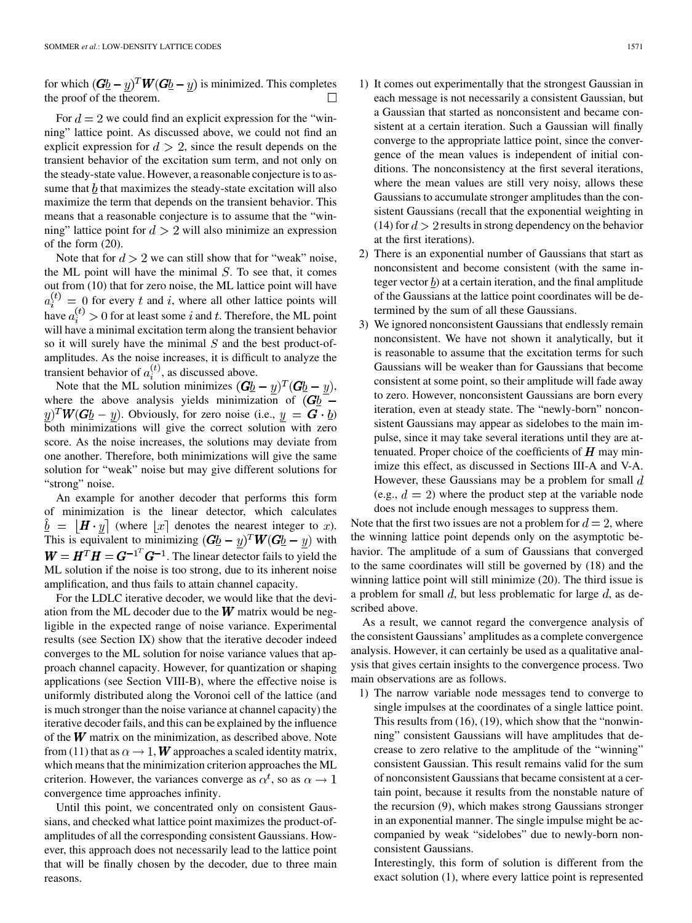for which  $(\mathbf{G}b - y)^T \mathbf{W} (\mathbf{G}b - y)$  is minimized. This completes the proof of the theorem.  $\Box$ 

For  $d = 2$  we could find an explicit expression for the "winning" lattice point. As discussed above, we could not find an explicit expression for  $d > 2$ , since the result depends on the transient behavior of the excitation sum term, and not only on the steady-state value. However, a reasonable conjecture is to assume that  $\underline{b}$  that maximizes the steady-state excitation will also maximize the term that depends on the transient behavior. This means that a reasonable conjecture is to assume that the "winning" lattice point for  $d > 2$  will also minimize an expression of the form (20).

Note that for  $d > 2$  we can still show that for "weak" noise, the ML point will have the minimal  $S$ . To see that, it comes out from (10) that for zero noise, the ML lattice point will have  $a_i^{(t)} = 0$  for every t and i, where all other lattice points will have  $a_i^{(t)} > 0$  for at least some i and t. Therefore, the ML point will have a minimal excitation term along the transient behavior so it will surely have the minimal  $S$  and the best product-ofamplitudes. As the noise increases, it is difficult to analyze the transient behavior of  $a_i^{(t)}$ , as discussed above.

Note that the ML solution minimizes  $(\mathbf{G} \underline{b} - \underline{y})^T (\mathbf{G} \underline{b} - \underline{y})$ , where the above analysis yields minimization of  $(Gb)$  –  $(y)^T W (G \underline{b} - y)$ . Obviously, for zero noise (i.e.,  $y = G \cdot \underline{b}$ ) both minimizations will give the correct solution with zero score. As the noise increases, the solutions may deviate from one another. Therefore, both minimizations will give the same solution for "weak" noise but may give different solutions for "strong" noise.

An example for another decoder that performs this form of minimization is the linear detector, which calculates  $\hat{b} = [\boldsymbol{H} \cdot \boldsymbol{y}]$  (where  $[x]$  denotes the nearest integer to x). This is equivalent to minimizing  $(\mathbf{G}b - y)^T \mathbf{W}(\mathbf{G}b - y)$  with  $W = H<sup>T</sup> H = G<sup>-1<sup>T</sup></sup> G<sup>-1</sup>$ . The linear detector fails to yield the ML solution if the noise is too strong, due to its inherent noise amplification, and thus fails to attain channel capacity.

For the LDLC iterative decoder, we would like that the deviation from the ML decoder due to the  $W$  matrix would be negligible in the expected range of noise variance. Experimental results (see Section IX) show that the iterative decoder indeed converges to the ML solution for noise variance values that approach channel capacity. However, for quantization or shaping applications (see Section VIII-B), where the effective noise is uniformly distributed along the Voronoi cell of the lattice (and is much stronger than the noise variance at channel capacity) the iterative decoder fails, and this can be explained by the influence of the  $W$  matrix on the minimization, as described above. Note from (11) that as  $\alpha \to 1$ , W approaches a scaled identity matrix, which means that the minimization criterion approaches the ML criterion. However, the variances converge as  $\alpha^t$ , so as  $\alpha \to 1$ convergence time approaches infinity.

Until this point, we concentrated only on consistent Gaussians, and checked what lattice point maximizes the product-ofamplitudes of all the corresponding consistent Gaussians. However, this approach does not necessarily lead to the lattice point that will be finally chosen by the decoder, due to three main reasons.

- 1) It comes out experimentally that the strongest Gaussian in each message is not necessarily a consistent Gaussian, but a Gaussian that started as nonconsistent and became consistent at a certain iteration. Such a Gaussian will finally converge to the appropriate lattice point, since the convergence of the mean values is independent of initial conditions. The nonconsistency at the first several iterations, where the mean values are still very noisy, allows these Gaussians to accumulate stronger amplitudes than the consistent Gaussians (recall that the exponential weighting in (14) for  $d > 2$  results in strong dependency on the behavior at the first iterations).
- 2) There is an exponential number of Gaussians that start as nonconsistent and become consistent (with the same integer vector  $\underline{b}$  at a certain iteration, and the final amplitude of the Gaussians at the lattice point coordinates will be determined by the sum of all these Gaussians.
- 3) We ignored nonconsistent Gaussians that endlessly remain nonconsistent. We have not shown it analytically, but it is reasonable to assume that the excitation terms for such Gaussians will be weaker than for Gaussians that become consistent at some point, so their amplitude will fade away to zero. However, nonconsistent Gaussians are born every iteration, even at steady state. The "newly-born" nonconsistent Gaussians may appear as sidelobes to the main impulse, since it may take several iterations until they are attenuated. Proper choice of the coefficients of  $H$  may minimize this effect, as discussed in Sections III-A and V-A. However, these Gaussians may be a problem for small  $d$ (e.g.,  $d = 2$ ) where the product step at the variable node does not include enough messages to suppress them.

Note that the first two issues are not a problem for  $d = 2$ , where the winning lattice point depends only on the asymptotic behavior. The amplitude of a sum of Gaussians that converged to the same coordinates will still be governed by (18) and the winning lattice point will still minimize (20). The third issue is a problem for small  $d$ , but less problematic for large  $d$ , as described above.

As a result, we cannot regard the convergence analysis of the consistent Gaussians' amplitudes as a complete convergence analysis. However, it can certainly be used as a qualitative analysis that gives certain insights to the convergence process. Two main observations are as follows.

1) The narrow variable node messages tend to converge to single impulses at the coordinates of a single lattice point. This results from (16), (19), which show that the "nonwinning" consistent Gaussians will have amplitudes that decrease to zero relative to the amplitude of the "winning" consistent Gaussian. This result remains valid for the sum of nonconsistent Gaussians that became consistent at a certain point, because it results from the nonstable nature of the recursion (9), which makes strong Gaussians stronger in an exponential manner. The single impulse might be accompanied by weak "sidelobes" due to newly-born nonconsistent Gaussians.

Interestingly, this form of solution is different from the exact solution (1), where every lattice point is represented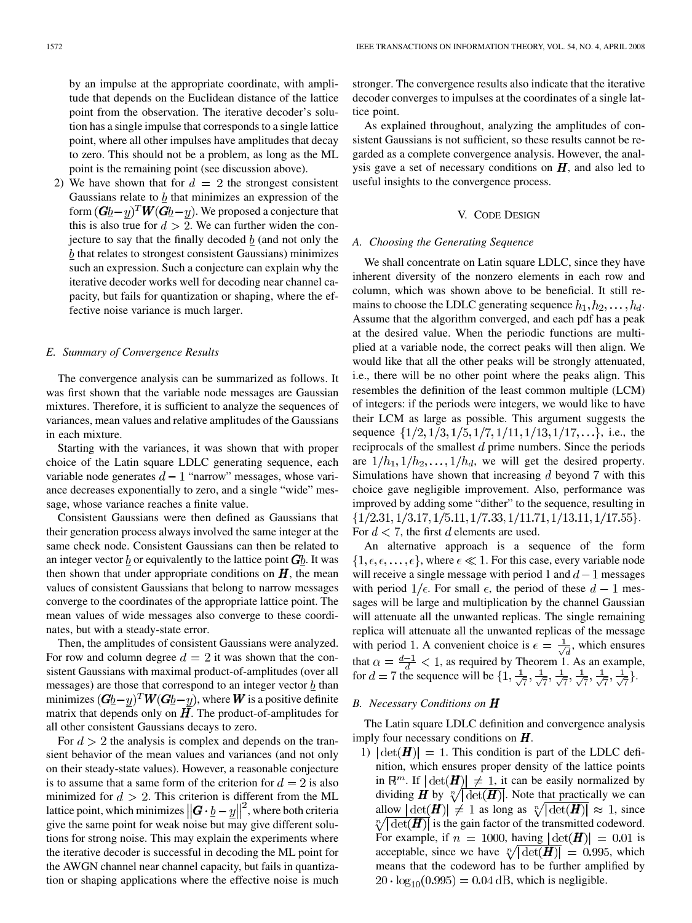by an impulse at the appropriate coordinate, with amplitude that depends on the Euclidean distance of the lattice point from the observation. The iterative decoder's solution has a single impulse that corresponds to a single lattice point, where all other impulses have amplitudes that decay to zero. This should not be a problem, as long as the ML point is the remaining point (see discussion above).

2) We have shown that for  $d = 2$  the strongest consistent Gaussians relate to  $\underline{b}$  that minimizes an expression of the form  $(\mathbf{G}b - y)^T \mathbf{W} (\mathbf{G}b - y)$ . We proposed a conjecture that this is also true for  $d > 2$ . We can further widen the conjecture to say that the finally decoded  $\bar{b}$  (and not only the  $b$  that relates to strongest consistent Gaussians) minimizes such an expression. Such a conjecture can explain why the iterative decoder works well for decoding near channel capacity, but fails for quantization or shaping, where the effective noise variance is much larger.

# *E. Summary of Convergence Results*

The convergence analysis can be summarized as follows. It was first shown that the variable node messages are Gaussian mixtures. Therefore, it is sufficient to analyze the sequences of variances, mean values and relative amplitudes of the Gaussians in each mixture.

Starting with the variances, it was shown that with proper choice of the Latin square LDLC generating sequence, each variable node generates  $d-1$  "narrow" messages, whose variance decreases exponentially to zero, and a single "wide" message, whose variance reaches a finite value.

Consistent Gaussians were then defined as Gaussians that their generation process always involved the same integer at the same check node. Consistent Gaussians can then be related to an integer vector b or equivalently to the lattice point  $Gb$ . It was then shown that under appropriate conditions on  $H$ , the mean values of consistent Gaussians that belong to narrow messages converge to the coordinates of the appropriate lattice point. The mean values of wide messages also converge to these coordinates, but with a steady-state error.

Then, the amplitudes of consistent Gaussians were analyzed. For row and column degree  $d = 2$  it was shown that the consistent Gaussians with maximal product-of-amplitudes (over all messages) are those that correspond to an integer vector  $\underline{b}$  than minimizes  $(Gb - y)^T W (Gb - y)$ , where **W** is a positive definite matrix that depends only on  $H$ . The product-of-amplitudes for all other consistent Gaussians decays to zero.

For  $d > 2$  the analysis is complex and depends on the transient behavior of the mean values and variances (and not only on their steady-state values). However, a reasonable conjecture is to assume that a same form of the criterion for  $d = 2$  is also minimized for  $d > 2$ . This criterion is different from the ML lattice point, which minimizes  $||G \cdot \underline{b} - \underline{y}||^2$ , where both criteria give the same point for weak noise but may give different solutions for strong noise. This may explain the experiments where the iterative decoder is successful in decoding the ML point for the AWGN channel near channel capacity, but fails in quantization or shaping applications where the effective noise is much stronger. The convergence results also indicate that the iterative decoder converges to impulses at the coordinates of a single lattice point.

As explained throughout, analyzing the amplitudes of consistent Gaussians is not sufficient, so these results cannot be regarded as a complete convergence analysis. However, the analysis gave a set of necessary conditions on  $H$ , and also led to useful insights to the convergence process.

#### V. CODE DESIGN

#### *A. Choosing the Generating Sequence*

We shall concentrate on Latin square LDLC, since they have inherent diversity of the nonzero elements in each row and column, which was shown above to be beneficial. It still remains to choose the LDLC generating sequence  $h_1, h_2, \ldots, h_d$ . Assume that the algorithm converged, and each pdf has a peak at the desired value. When the periodic functions are multiplied at a variable node, the correct peaks will then align. We would like that all the other peaks will be strongly attenuated, i.e., there will be no other point where the peaks align. This resembles the definition of the least common multiple (LCM) of integers: if the periods were integers, we would like to have their LCM as large as possible. This argument suggests the sequence  $\{1/2, 1/3, 1/5, 1/7, 1/11, 1/13, 1/17, \ldots\}$ , i.e., the reciprocals of the smallest  $d$  prime numbers. Since the periods are  $1/h_1, 1/h_2, \ldots, 1/h_d$ , we will get the desired property. Simulations have shown that increasing  $d$  beyond  $7$  with this choice gave negligible improvement. Also, performance was improved by adding some "dither" to the sequence, resulting in  $\{1/2.31, 1/3.17, 1/5.11, 1/7.33, 1/11.71, 1/13.11, 1/17.55\}.$ For  $d < 7$ , the first d elements are used.

An alternative approach is a sequence of the form  $\{1,\epsilon,\epsilon,\ldots,\epsilon\}$ , where  $\epsilon \ll 1$ . For this case, every variable node will receive a single message with period 1 and  $d-1$  messages with period  $1/\epsilon$ . For small  $\epsilon$ , the period of these  $d-1$  messages will be large and multiplication by the channel Gaussian will attenuate all the unwanted replicas. The single remaining replica will attenuate all the unwanted replicas of the message with period 1. A convenient choice is  $\epsilon = \frac{1}{\sqrt{3}}$ , which ensures that  $\alpha = \frac{d-1}{d} < 1$ , as required by Theorem 1. As an example, for  $d = 7$  the sequence will be  $\{1, \frac{1}{\sqrt{7}}, \frac{1}{\sqrt{7}}, \frac{1}{\sqrt{7}}, \frac{1}{\sqrt{7}}, \frac{1}{\sqrt{7}}\}$ .

#### *B. Necessary Conditions on*

The Latin square LDLC definition and convergence analysis imply four necessary conditions on  $H$ .

1)  $|\det(\mathbf{H})| = 1$ . This condition is part of the LDLC definition, which ensures proper density of the lattice points in  $\mathbb{R}^m$ . If  $|\det(\mathbf{H})| \neq 1$ , it can be easily normalized by dividing **H** by  $\sqrt[n]{|\det(H)|}$ . Note that practically we can allow  $|\det(\mathbf{H})| \neq 1$  as long as  $\sqrt[n]{|\det(\mathbf{H})|} \approx 1$ , since  $\sqrt[n]{|\det(H)|}$  is the gain factor of the transmitted codeword. For example, if  $n = 1000$ , having  $|\det(\mathbf{H})| = 0.01$  is acceptable, since we have  $\sqrt[n]{|\det(H)|} = 0.995$ , which means that the codeword has to be further amplified by  $20 \cdot \log_{10}(0.995) = 0.04$  dB, which is negligible.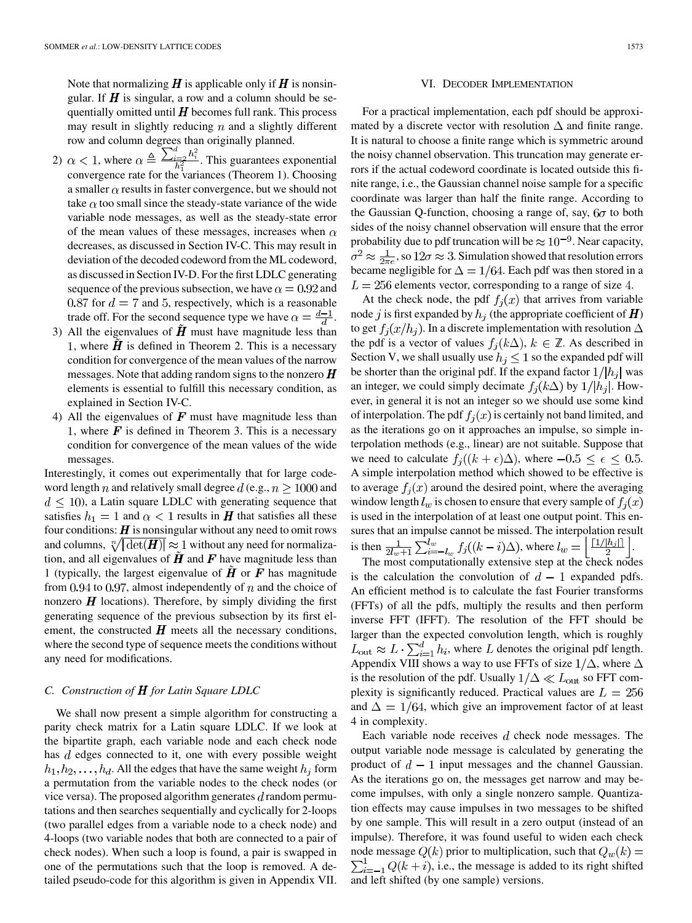Note that normalizing  $\boldsymbol{H}$  is applicable only if  $\boldsymbol{H}$  is nonsingular. If  $\bm{H}$  is singular, a row and a column should be sequentially omitted until  $H$  becomes full rank. This process may result in slightly reducing  $n$  and a slightly different row and column degrees than originally planned.

- 2)  $\alpha$  < 1, where  $\alpha \triangleq \frac{\sum_{i=2}^{n} n_i}{h^2}$ . This guarantees exponential convergence rate for the variances (Theorem 1). Choosing a smaller  $\alpha$  results in faster convergence, but we should not take  $\alpha$  too small since the steady-state variance of the wide variable node messages, as well as the steady-state error of the mean values of these messages, increases when  $\alpha$ decreases, as discussed in Section IV-C. This may result in deviation of the decoded codeword from the ML codeword, as discussed in Section IV-D. For the first LDLC generating sequence of the previous subsection, we have  $\alpha = 0.92$  and  $0.87$  for  $d = 7$  and 5, respectively, which is a reasonable trade off. For the second sequence type we have  $\alpha = \frac{d-1}{d}$ .
- 3) All the eigenvalues of  $\tilde{H}$  must have magnitude less than 1, where  $\tilde{H}$  is defined in Theorem 2. This is a necessary condition for convergence of the mean values of the narrow messages. Note that adding random signs to the nonzero  $\boldsymbol{H}$ elements is essential to fulfill this necessary condition, as explained in Section IV-C.
- 4) All the eigenvalues of  $\boldsymbol{F}$  must have magnitude less than 1, where  $\mathbf{F}$  is defined in Theorem 3. This is a necessary condition for convergence of the mean values of the wide messages.

Interestingly, it comes out experimentally that for large codeword length n and relatively small degree  $d$  (e.g.,  $n > 1000$  and  $d \leq 10$ ), a Latin square LDLC with generating sequence that satisfies  $h_1 = 1$  and  $\alpha < 1$  results in **H** that satisfies all these four conditions:  $\boldsymbol{H}$  is nonsingular without any need to omit rows and columns,  $\sqrt[n]{|\det(H)|} \approx 1$  without any need for normalization, and all eigenvalues of  $\hat{H}$  and  $\hat{F}$  have magnitude less than 1 (typically, the largest eigenvalue of  $\boldsymbol{H}$  or  $\boldsymbol{F}$  has magnitude from 0.94 to 0.97, almost independently of  $n$  and the choice of nonzero  $\boldsymbol{H}$  locations). Therefore, by simply dividing the first generating sequence of the previous subsection by its first element, the constructed  $H$  meets all the necessary conditions, where the second type of sequence meets the conditions without any need for modifications.

# *C. Construction of H for Latin Square LDLC*

We shall now present a simple algorithm for constructing a parity check matrix for a Latin square LDLC. If we look at the bipartite graph, each variable node and each check node has  $d$  edges connected to it, one with every possible weight  $h_1, h_2, \ldots, h_d$ . All the edges that have the same weight  $h_i$  form a permutation from the variable nodes to the check nodes (or vice versa). The proposed algorithm generates  $d$  random permutations and then searches sequentially and cyclically for 2-loops (two parallel edges from a variable node to a check node) and 4-loops (two variable nodes that both are connected to a pair of check nodes). When such a loop is found, a pair is swapped in one of the permutations such that the loop is removed. A detailed pseudo-code for this algorithm is given in Appendix VII.

#### VI. DECODER IMPLEMENTATION

For a practical implementation, each pdf should be approximated by a discrete vector with resolution  $\Delta$  and finite range. It is natural to choose a finite range which is symmetric around the noisy channel observation. This truncation may generate errors if the actual codeword coordinate is located outside this finite range, i.e., the Gaussian channel noise sample for a specific coordinate was larger than half the finite range. According to the Gaussian Q-function, choosing a range of, say,  $6\sigma$  to both sides of the noisy channel observation will ensure that the error probability due to pdf truncation will be  $\approx 10^{-9}$ . Near capacity,  $\sigma^2 \approx \frac{1}{2\pi e}$ , so  $12\sigma \approx 3$ . Simulation showed that resolution errors became negligible for  $\Delta = 1/64$ . Each pdf was then stored in a  $L = 256$  elements vector, corresponding to a range of size 4.

At the check node, the pdf  $f_i(x)$  that arrives from variable node j is first expanded by  $h_i$  (the appropriate coefficient of  $\boldsymbol{H}$ ) to get  $f_i(x/h_i)$ . In a discrete implementation with resolution  $\Delta$ the pdf is a vector of values  $f_i(k\Delta)$ ,  $k \in \mathbb{Z}$ . As described in Section V, we shall usually use  $h_j \leq 1$  so the expanded pdf will be shorter than the original pdf. If the expand factor  $1/|h_j|$  was an integer, we could simply decimate  $f_i(k\Delta)$  by  $1/|h_i|$ . However, in general it is not an integer so we should use some kind of interpolation. The pdf  $f_i(x)$  is certainly not band limited, and as the iterations go on it approaches an impulse, so simple interpolation methods (e.g., linear) are not suitable. Suppose that we need to calculate  $f_i((k+\epsilon)\Delta)$ , where  $-0.5 \leq \epsilon \leq 0.5$ . A simple interpolation method which showed to be effective is to average  $f_i(x)$  around the desired point, where the averaging window length  $l_w$  is chosen to ensure that every sample of  $f_i(x)$ is used in the interpolation of at least one output point. This ensures that an impulse cannot be missed. The interpolation result is then  $\frac{1}{2l+1}\sum_{i=-l}^{l_w} f_i((k-i)\Delta)$ , where  $l_w = \frac{1}{2} \frac{1}{2l} \frac{1}{2l+1}$ .

The most computationally extensive step at the check nodes is the calculation the convolution of  $d-1$  expanded pdfs. An efficient method is to calculate the fast Fourier transforms (FFTs) of all the pdfs, multiply the results and then perform inverse FFT (IFFT). The resolution of the FFT should be larger than the expected convolution length, which is roughly  $L_{\text{out}} \approx L \cdot \sum_{i=1}^{d} h_i$ , where L denotes the original pdf length. Appendix VIII shows a way to use FFTs of size  $1/\Delta$ , where  $\Delta$ is the resolution of the pdf. Usually  $1/\Delta \ll L_{\text{out}}$  so FFT complexity is significantly reduced. Practical values are  $L = 256$ and  $\Delta = 1/64$ , which give an improvement factor of at least 4 in complexity.

Each variable node receives  $d$  check node messages. The output variable node message is calculated by generating the product of  $d-1$  input messages and the channel Gaussian. As the iterations go on, the messages get narrow and may become impulses, with only a single nonzero sample. Quantization effects may cause impulses in two messages to be shifted by one sample. This will result in a zero output (instead of an impulse). Therefore, it was found useful to widen each check node message  $Q(k)$  prior to multiplication, such that  $Q_w(k)$  =  $\sum_{i=-1}^{1} Q(k+i)$ , i.e., the message is added to its right shifted and left shifted (by one sample) versions.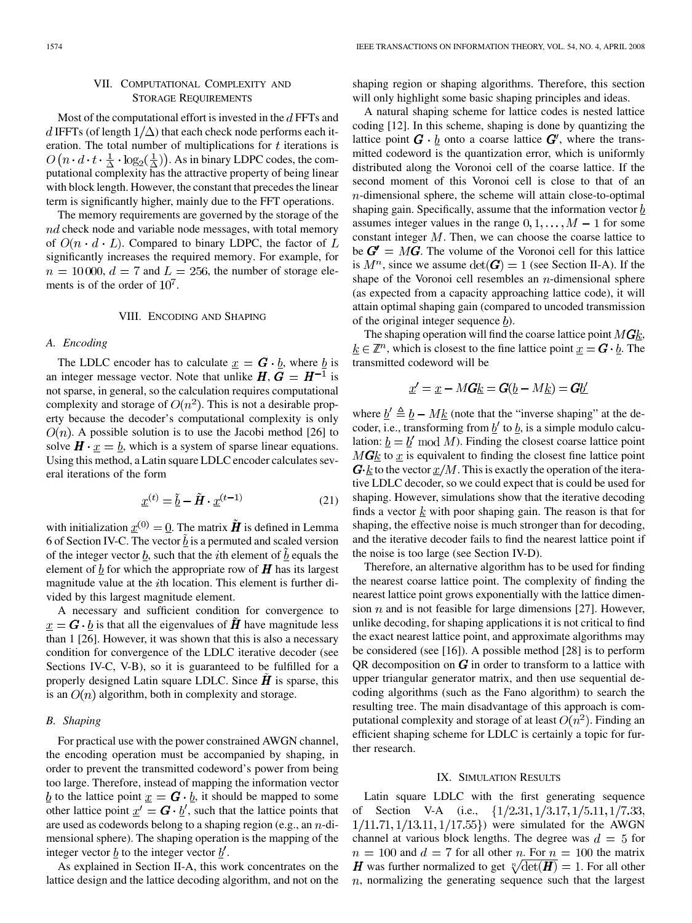# VII. COMPUTATIONAL COMPLEXITY AND STORAGE REQUIREMENTS

Most of the computational effort is invested in the  $d$  FFTs and d IFFTs (of length  $1/\Delta$ ) that each check node performs each iteration. The total number of multiplications for  $t$  iterations is  $O(n \cdot d \cdot t \cdot \frac{1}{\Delta} \cdot \log_2(\frac{1}{\Delta}))$ . As in binary LDPC codes, the computational complexity has the attractive property of being linear with block length. However, the constant that precedes the linear term is significantly higher, mainly due to the FFT operations.

The memory requirements are governed by the storage of the  $nd$  check node and variable node messages, with total memory of  $O(n \cdot d \cdot L)$ . Compared to binary LDPC, the factor of L significantly increases the required memory. For example, for  $n = 10000, d = 7$  and  $L = 256$ , the number of storage elements is of the order of  $10<sup>7</sup>$ .

#### VIII. ENCODING AND SHAPING

#### *A. Encoding*

The LDLC encoder has to calculate  $\underline{x} = G \cdot \underline{b}$ , where  $\underline{b}$  is an integer message vector. Note that unlike  $H, G = H^{-1}$  is not sparse, in general, so the calculation requires computational complexity and storage of  $O(n^2)$ . This is not a desirable property because the decoder's computational complexity is only  $O(n)$ . A possible solution is to use the Jacobi method [26] to solve  $H \cdot x = b$ , which is a system of sparse linear equations. Using this method, a Latin square LDLC encoder calculates several iterations of the form

$$
\underline{x}^{(t)} = \underline{\tilde{b}} - \tilde{H} \cdot \underline{x}^{(t-1)} \tag{21}
$$

with initialization  $x^{(0)} = 0$ . The matrix  $\tilde{H}$  is defined in Lemma 6 of Section IV-C. The vector  $\underline{b}$  is a permuted and scaled version of the integer vector  $\underline{b}$ , such that the *i*th element of  $\underline{b}$  equals the element of  $\underline{b}$  for which the appropriate row of  $H$  has its largest magnitude value at the  $i$ th location. This element is further divided by this largest magnitude element.

A necessary and sufficient condition for convergence to  $\underline{x} = G \cdot \underline{b}$  is that all the eigenvalues of H have magnitude less than 1 [26]. However, it was shown that this is also a necessary condition for convergence of the LDLC iterative decoder (see Sections IV-C, V-B), so it is guaranteed to be fulfilled for a properly designed Latin square LDLC. Since  $\boldsymbol{H}$  is sparse, this is an  $O(n)$  algorithm, both in complexity and storage.

#### *B. Shaping*

For practical use with the power constrained AWGN channel, the encoding operation must be accompanied by shaping, in order to prevent the transmitted codeword's power from being too large. Therefore, instead of mapping the information vector  $\underline{b}$  to the lattice point  $\underline{x} = \mathbf{G} \cdot \underline{b}$ , it should be mapped to some other lattice point  $\underline{x}' = G \cdot \underline{b}'$ , such that the lattice points that are used as codewords belong to a shaping region (e.g., an  $n$ -dimensional sphere). The shaping operation is the mapping of the integer vector  $\underline{b}$  to the integer vector  $\underline{b}'$ .

As explained in Section II-A, this work concentrates on the lattice design and the lattice decoding algorithm, and not on the shaping region or shaping algorithms. Therefore, this section will only highlight some basic shaping principles and ideas.

A natural shaping scheme for lattice codes is nested lattice coding [12]. In this scheme, shaping is done by quantizing the lattice point  $\mathbf{G} \cdot \mathbf{b}$  onto a coarse lattice  $\mathbf{G}'$ , where the transmitted codeword is the quantization error, which is uniformly distributed along the Voronoi cell of the coarse lattice. If the second moment of this Voronoi cell is close to that of an  $n$ -dimensional sphere, the scheme will attain close-to-optimal shaping gain. Specifically, assume that the information vector  $b$ assumes integer values in the range  $0, 1, \ldots, M - 1$  for some constant integer  $M$ . Then, we can choose the coarse lattice to be  $G' = MG$ . The volume of the Voronoi cell for this lattice is  $M^n$ , since we assume  $\det(G) = 1$  (see Section II-A). If the shape of the Voronoi cell resembles an  $n$ -dimensional sphere (as expected from a capacity approaching lattice code), it will attain optimal shaping gain (compared to uncoded transmission of the original integer sequence  $\underline{b}$ ).

The shaping operation will find the coarse lattice point  $M\mathbf{G}k$ ,  $k \in \mathbb{Z}^n$ , which is closest to the fine lattice point  $\underline{x} = G \cdot \underline{b}$ . The transmitted codeword will be

$$
\underline{x}' = \underline{x} - M\mathbf{G}\underline{k} = \mathbf{G}(\underline{b} - M\underline{k}) = \mathbf{G}\underline{b}'
$$

where  $\underline{b}' \triangleq \underline{b} - M \underline{k}$  (note that the "inverse shaping" at the decoder, i.e., transforming from  $\underline{b}'$  to  $\underline{b}$ , is a simple modulo calculation:  $\underline{b} = \underline{b}' \bmod M$ . Finding the closest coarse lattice point  $MGk$  to x is equivalent to finding the closest fine lattice point  $\boldsymbol{G}\cdot\boldsymbol{k}$  to the vector  $x/M$ . This is exactly the operation of the iterative LDLC decoder, so we could expect that is could be used for shaping. However, simulations show that the iterative decoding finds a vector  $\underline{k}$  with poor shaping gain. The reason is that for shaping, the effective noise is much stronger than for decoding, and the iterative decoder fails to find the nearest lattice point if the noise is too large (see Section IV-D).

Therefore, an alternative algorithm has to be used for finding the nearest coarse lattice point. The complexity of finding the nearest lattice point grows exponentially with the lattice dimension  $n$  and is not feasible for large dimensions [27]. However, unlike decoding, for shaping applications it is not critical to find the exact nearest lattice point, and approximate algorithms may be considered (see [16]). A possible method [28] is to perform QR decomposition on  $G$  in order to transform to a lattice with upper triangular generator matrix, and then use sequential decoding algorithms (such as the Fano algorithm) to search the resulting tree. The main disadvantage of this approach is computational complexity and storage of at least  $O(n^2)$ . Finding an efficient shaping scheme for LDLC is certainly a topic for further research.

#### IX. SIMULATION RESULTS

Latin square LDLC with the first generating sequence of Section V-A (i.e.,  $\{1/2.31, 1/3.17, 1/5.11, 1/7.33,$  $1/11.71, 1/13.11, 1/17.55$ }) were simulated for the AWGN channel at various block lengths. The degree was  $d = 5$  for  $n = 100$  and  $d = 7$  for all other n. For  $n = 100$  the matrix **H** was further normalized to get  $\sqrt[n]{\det(H)} = 1$ . For all other  $n$ , normalizing the generating sequence such that the largest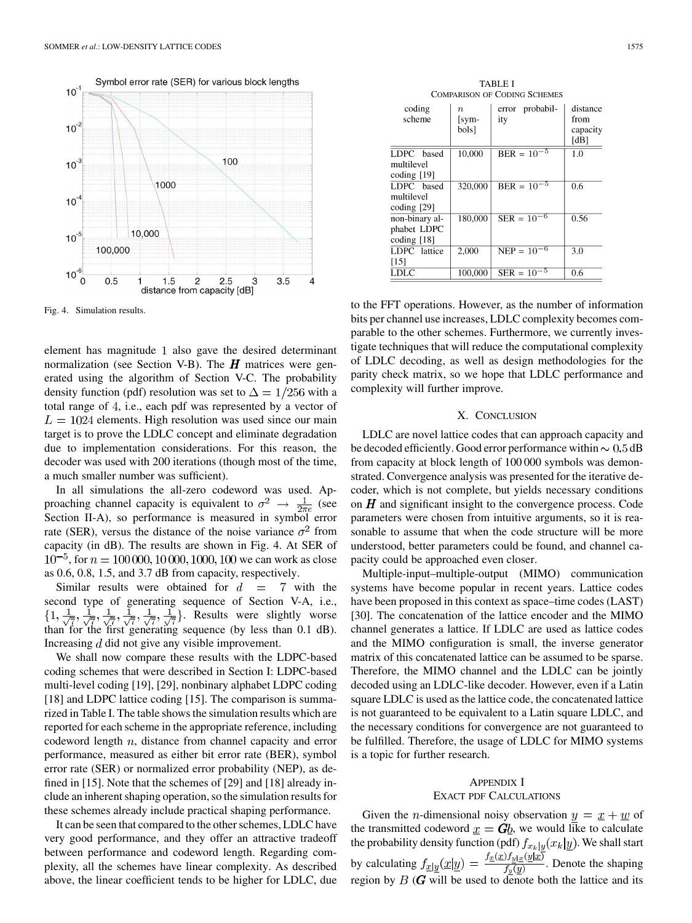

Fig. 4. Simulation results.

element has magnitude 1 also gave the desired determinant normalization (see Section V-B). The  $H$  matrices were generated using the algorithm of Section V-C. The probability density function (pdf) resolution was set to  $\Delta = 1/256$  with a total range of 4, i.e., each pdf was represented by a vector of  $L = 1024$  elements. High resolution was used since our main target is to prove the LDLC concept and eliminate degradation due to implementation considerations. For this reason, the decoder was used with 200 iterations (though most of the time, a much smaller number was sufficient).

In all simulations the all-zero codeword was used. Approaching channel capacity is equivalent to  $\sigma^2 \rightarrow \frac{1}{2\pi e}$  (see Section II-A), so performance is measured in symbol error rate (SER), versus the distance of the noise variance  $\sigma^2$  from capacity (in dB). The results are shown in Fig. 4. At SER of  $10^{-5}$ , for  $n = 100000, 10000, 1000, 100$  we can work as close as 0.6, 0.8, 1.5, and 3.7 dB from capacity, respectively.

Similar results were obtained for  $d = 7$  with the second type of generating sequence of Section V-A, i.e., . Results were slightly worse than for the first generating sequence (by less than 0.1 dB). Increasing  $d$  did not give any visible improvement.

We shall now compare these results with the LDPC-based coding schemes that were described in Section I: LDPC-based multi-level coding [19], [29], nonbinary alphabet LDPC coding [18] and LDPC lattice coding [15]. The comparison is summarized in Table I. The table shows the simulation results which are reported for each scheme in the appropriate reference, including codeword length  $n$ , distance from channel capacity and error performance, measured as either bit error rate (BER), symbol error rate (SER) or normalized error probability (NEP), as defined in [15]. Note that the schemes of [29] and [18] already include an inherent shaping operation, so the simulation results for these schemes already include practical shaping performance.

It can be seen that compared to the other schemes, LDLC have very good performance, and they offer an attractive tradeoff between performance and codeword length. Regarding complexity, all the schemes have linear complexity. As described above, the linear coefficient tends to be higher for LDLC, due

TABLE I COMPARISON OF CODING SCHEMES

| coding<br>scheme | $\it{n}$<br>[sym-<br>bols] | probabil-<br>error<br>ity | distance<br>from<br>capacity<br>[dB] |
|------------------|----------------------------|---------------------------|--------------------------------------|
| LDPC based       | 10,000                     | $BER = 10^{-5}$           | 1.0                                  |
| multilevel       |                            |                           |                                      |
| coding $[19]$    |                            |                           |                                      |
| LDPC based       | 320,000                    | $BER = 10^{-5}$           | 0.6                                  |
| multilevel       |                            |                           |                                      |
| coding $[29]$    |                            |                           |                                      |
| non-binary al-   | 180,000                    | $SER = 10^{-6}$           | 0.56                                 |
| phabet LDPC      |                            |                           |                                      |
| coding $[18]$    |                            |                           |                                      |
| LDPC lattice     | 2,000                      | $NEP = 10^{-6}$           | 3.0                                  |
| [15]             |                            |                           |                                      |
| LDLC             | 100,000                    | -5<br>$SER = 10$          | 0.6                                  |

to the FFT operations. However, as the number of information bits per channel use increases, LDLC complexity becomes comparable to the other schemes. Furthermore, we currently investigate techniques that will reduce the computational complexity of LDLC decoding, as well as design methodologies for the parity check matrix, so we hope that LDLC performance and complexity will further improve.

#### X. CONCLUSION

LDLC are novel lattice codes that can approach capacity and be decoded efficiently. Good error performance within  $\sim 0.5$  dB from capacity at block length of 100 000 symbols was demonstrated. Convergence analysis was presented for the iterative decoder, which is not complete, but yields necessary conditions on  $H$  and significant insight to the convergence process. Code parameters were chosen from intuitive arguments, so it is reasonable to assume that when the code structure will be more understood, better parameters could be found, and channel capacity could be approached even closer.

Multiple-input–multiple-output (MIMO) communication systems have become popular in recent years. Lattice codes have been proposed in this context as space–time codes (LAST) [30]. The concatenation of the lattice encoder and the MIMO channel generates a lattice. If LDLC are used as lattice codes and the MIMO configuration is small, the inverse generator matrix of this concatenated lattice can be assumed to be sparse. Therefore, the MIMO channel and the LDLC can be jointly decoded using an LDLC-like decoder. However, even if a Latin square LDLC is used as the lattice code, the concatenated lattice is not guaranteed to be equivalent to a Latin square LDLC, and the necessary conditions for convergence are not guaranteed to be fulfilled. Therefore, the usage of LDLC for MIMO systems is a topic for further research.

# APPENDIX I

# EXACT PDF CALCULATIONS

Given the *n*-dimensional noisy observation  $y = x + w$  of the transmitted codeword  $x = Gb$ , we would like to calculate the probability density function (pdf)  $f_{x_k}|_{\underline{y}}(x_k|\underline{y})$ . We shall start by calculating  $f_{\underline{x}|\underline{y}}(\underline{x}|\underline{y}) = \frac{f_{\underline{x}}(\underline{x})f_{\underline{y}|\underline{x}}(\underline{y}|\underline{x})}{f_{\underline{y}}(\underline{y})}$ . Denote the shaping region by  $B(G)$  will be used to denote both the lattice and its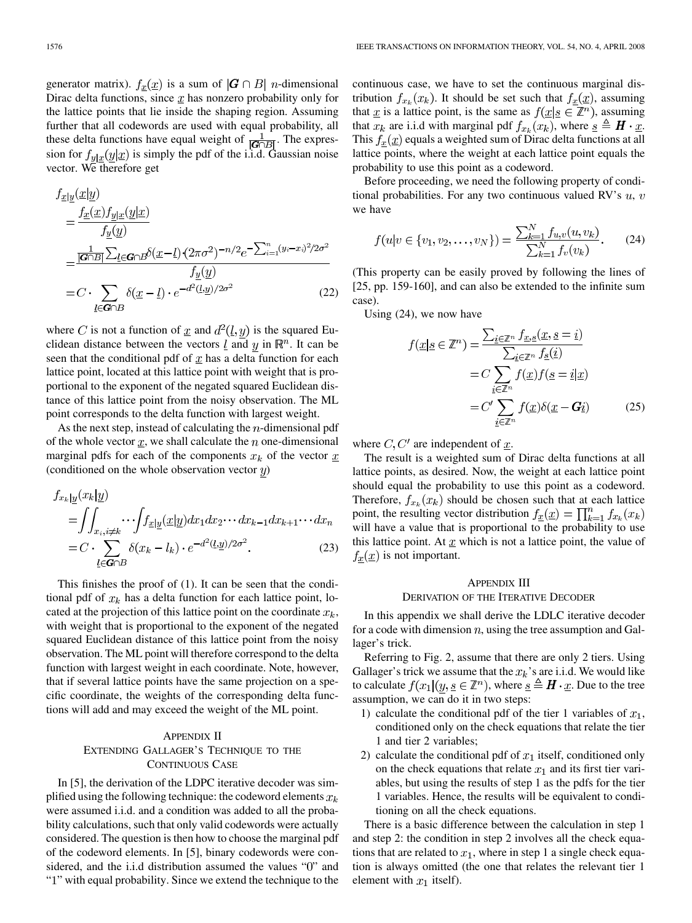$$
f_{\underline{x}|\underline{y}}(\underline{x}|\underline{y})
$$
\n
$$
= \frac{f_{\underline{x}}(\underline{x})f_{\underline{y}|\underline{x}}(\underline{y}|\underline{x})}{f_{\underline{y}}(\underline{y})}
$$
\n
$$
= \frac{\frac{1}{|\mathbf{G}\cap B|}\sum_{\underline{l}\in\mathbf{G}\cap B}\delta(\underline{x}-\underline{l})\cdot(2\pi\sigma^2)^{-n/2}e^{-\sum_{i=1}^n(y_i-x_i)^2/2\sigma^2}}{f_{\underline{y}}(\underline{y})}
$$
\n
$$
= C \cdot \sum_{\underline{l}\in\mathbf{G}\cap B}\delta(\underline{x}-\underline{l}) \cdot e^{-d^2(\underline{l},\underline{y})/2\sigma^2}
$$
\n(22)

where C is not a function of <u>x</u> and  $d^2(l, y)$  is the squared Euclidean distance between the vectors  $\underline{l}$  and  $y$  in  $\mathbb{R}^n$ . It can be seen that the conditional pdf of  $x$  has a delta function for each lattice point, located at this lattice point with weight that is proportional to the exponent of the negated squared Euclidean distance of this lattice point from the noisy observation. The ML point corresponds to the delta function with largest weight.

As the next step, instead of calculating the  $n$ -dimensional pdf of the whole vector  $\underline{x}$ , we shall calculate the n one-dimensional marginal pdfs for each of the components  $x_k$  of the vector  $\underline{x}$ (conditioned on the whole observation vector  $y$ )

$$
f_{x_k|y}(x_k|y)
$$
  
= 
$$
\iint_{x_i, i \neq k} \cdots \int f_{x|y}(x|y) dx_1 dx_2 \cdots dx_{k-1} dx_{k+1} \cdots dx_n
$$
  
= 
$$
C \cdot \sum_{\underline{l} \in \mathbf{G} \cap B} \delta(x_k - l_k) \cdot e^{-d^2(\underline{l}, \underline{y})/2\sigma^2}.
$$
 (23)

This finishes the proof of (1). It can be seen that the conditional pdf of  $x_k$  has a delta function for each lattice point, located at the projection of this lattice point on the coordinate  $x_k$ , with weight that is proportional to the exponent of the negated squared Euclidean distance of this lattice point from the noisy observation. The ML point will therefore correspond to the delta function with largest weight in each coordinate. Note, however, that if several lattice points have the same projection on a specific coordinate, the weights of the corresponding delta functions will add and may exceed the weight of the ML point.

# APPENDIX II EXTENDING GALLAGER'S TECHNIQUE TO THE CONTINUOUS CASE

In [5], the derivation of the LDPC iterative decoder was simplified using the following technique: the codeword elements  $x_k$ were assumed i.i.d. and a condition was added to all the probability calculations, such that only valid codewords were actually considered. The question is then how to choose the marginal pdf of the codeword elements. In [5], binary codewords were considered, and the i.i.d distribution assumed the values "0" and "1" with equal probability. Since we extend the technique to the

continuous case, we have to set the continuous marginal distribution  $f_{x_k}(x_k)$ . It should be set such that  $f_{\underline{x}}(\underline{x})$ , assuming that  $\underline{x}$  is a lattice point, is the same as  $f(\underline{x} | \underline{s} \in \mathbb{Z}^n)$ , assuming that  $x_k$  are i.i.d with marginal pdf  $f_{x_k}(x_k)$ , where  $\underline{s} \triangleq H \cdot \underline{x}$ . This  $f_x(\underline{x})$  equals a weighted sum of Dirac delta functions at all lattice points, where the weight at each lattice point equals the probability to use this point as a codeword.

Before proceeding, we need the following property of conditional probabilities. For any two continuous valued RV's  $u, v$ we have

$$
f(u|v \in \{v_1, v_2, \dots, v_N\}) = \frac{\sum_{k=1}^{N} f_{u,v}(u, v_k)}{\sum_{k=1}^{N} f_v(v_k)}.
$$
 (24)

(This property can be easily proved by following the lines of [25, pp. 159-160], and can also be extended to the infinite sum case).

Using (24), we now have

$$
f(\underline{x}|\underline{s} \in \mathbb{Z}^n) = \frac{\sum_{\underline{i} \in \mathbb{Z}^n} f_{\underline{x},\underline{s}}(\underline{x}, \underline{s} = \underline{i})}{\sum_{\underline{i} \in \mathbb{Z}^n} f_{\underline{s}}(\underline{i})}
$$

$$
= C \sum_{\underline{i} \in \mathbb{Z}^n} f(\underline{x}) f(\underline{s} = \underline{i}|\underline{x})
$$

$$
= C' \sum_{\underline{i} \in \mathbb{Z}^n} f(\underline{x}) \delta(\underline{x} - \mathbf{G}\underline{i})
$$
(25)

where  $C, C'$  are independent of  $\underline{x}$ .

The result is a weighted sum of Dirac delta functions at all lattice points, as desired. Now, the weight at each lattice point should equal the probability to use this point as a codeword. Therefore,  $f_{x_k}(x_k)$  should be chosen such that at each lattice point, the resulting vector distribution  $f_{\underline{x}}(\underline{x}) = \prod_{k=1}^{n} f_{x_k}(x_k)$ will have a value that is proportional to the probability to use this lattice point. At  $\underline{x}$  which is not a lattice point, the value of  $f_x(\underline{x})$  is not important.

# APPENDIX III

# DERIVATION OF THE ITERATIVE DECODER

In this appendix we shall derive the LDLC iterative decoder for a code with dimension  $n$ , using the tree assumption and Gallager's trick.

Referring to Fig. 2, assume that there are only 2 tiers. Using Gallager's trick we assume that the  $x_k$ 's are i.i.d. We would like to calculate  $f(x_1 | (y, \underline{s} \in \mathbb{Z}^n))$ , where  $\underline{s} \triangleq H \cdot \underline{x}$ . Due to the tree assumption, we can do it in two steps:

- 1) calculate the conditional pdf of the tier 1 variables of  $x_1$ , conditioned only on the check equations that relate the tier 1 and tier 2 variables;
- 2) calculate the conditional pdf of  $x_1$  itself, conditioned only on the check equations that relate  $x_1$  and its first tier variables, but using the results of step 1 as the pdfs for the tier 1 variables. Hence, the results will be equivalent to conditioning on all the check equations.

There is a basic difference between the calculation in step 1 and step 2: the condition in step 2 involves all the check equations that are related to  $x_1$ , where in step 1 a single check equation is always omitted (the one that relates the relevant tier 1 element with  $x_1$  itself).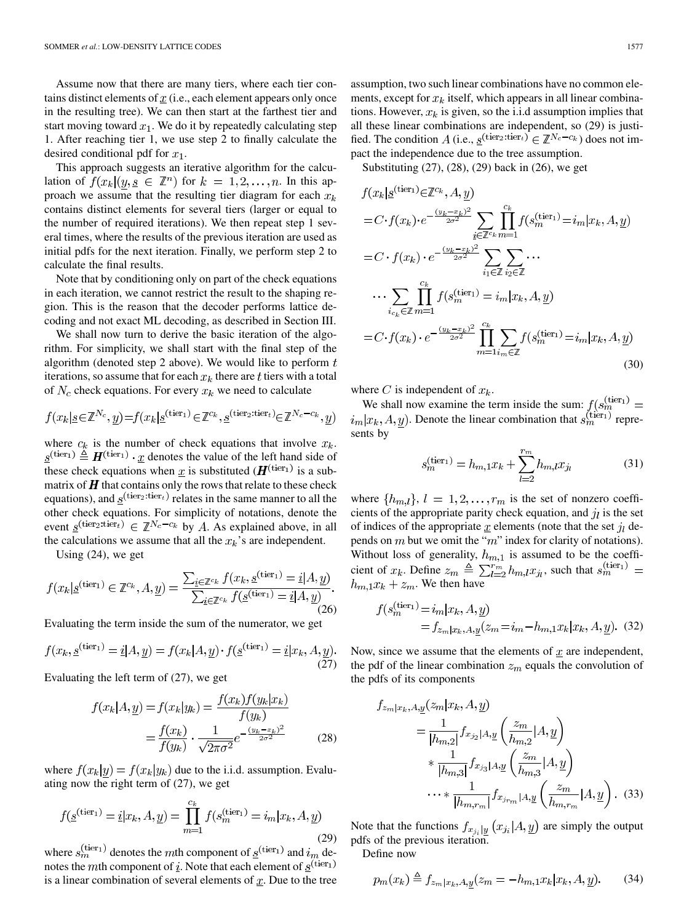Assume now that there are many tiers, where each tier contains distinct elements of  $x$  (i.e., each element appears only once in the resulting tree). We can then start at the farthest tier and start moving toward  $x_1$ . We do it by repeatedly calculating step 1. After reaching tier 1, we use step 2 to finally calculate the desired conditional pdf for  $x_1$ .

This approach suggests an iterative algorithm for the calculation of  $f(x_k|(y, s \in \mathbb{Z}^n)$  for  $k = 1, 2, ..., n$ . In this approach we assume that the resulting tier diagram for each  $x_k$ contains distinct elements for several tiers (larger or equal to the number of required iterations). We then repeat step 1 several times, where the results of the previous iteration are used as initial pdfs for the next iteration. Finally, we perform step 2 to calculate the final results.

Note that by conditioning only on part of the check equations in each iteration, we cannot restrict the result to the shaping region. This is the reason that the decoder performs lattice decoding and not exact ML decoding, as described in Section III.

We shall now turn to derive the basic iteration of the algorithm. For simplicity, we shall start with the final step of the algorithm (denoted step 2 above). We would like to perform  $t$ iterations, so assume that for each  $x_k$  there are t tiers with a total of  $N_c$  check equations. For every  $x_k$  we need to calculate

$$
f(x_k | \underline{s} \in \mathbb{Z}^{N_c}, \underline{y}) = f(x_k | \underline{s}^{(\text{tier}_1)} \in \mathbb{Z}^{c_k}, \underline{s}^{(\text{tier}_2; \text{tier}_t)} \in \mathbb{Z}^{N_c - c_k}, \underline{y})
$$

where  $c_k$  is the number of check equations that involve  $x_k$ .  $\underline{s}^{(\text{tier}_1)} \triangleq H^{(\text{tier}_1)} \cdot \underline{x}$  denotes the value of the left hand side of these check equations when x is substituted ( $H^{(\text{tier}_1)}$  is a submatrix of  $H$  that contains only the rows that relate to these check equations), and  $\underline{s}^{\text{(tier}_2:\text{tier}_t)}$  relates in the same manner to all the other check equations. For simplicity of notations, denote the event  $\underline{s}^{(\text{tier}_2:\text{tier}_t)} \in \mathbb{Z}^{N_c-c_k}$  by A. As explained above, in all the calculations we assume that all the  $x_k$ 's are independent.

Using (24), we get

$$
f(x_k|\underline{s}^{(\text{tier}_1)} \in \mathbb{Z}^{c_k}, A, \underline{y}) = \frac{\sum_{\underline{i} \in \mathbb{Z}^{c_k}} f(x_k, \underline{s}^{(\text{tier}_1)} = \underline{i}|A, \underline{y})}{\sum_{\underline{i} \in \mathbb{Z}^{c_k}} f(\underline{s}^{(\text{tier}_1)} = \underline{i}|A, \underline{y})}.
$$
\n(26)

Evaluating the term inside the sum of the numerator, we get

$$
f(x_k, \underline{s}^{(\text{iter}_1)} = \underline{i}|A, \underline{y}) = f(x_k|A, \underline{y}) \cdot f(\underline{s}^{(\text{iter}_1)} = \underline{i}|x_k, A, \underline{y}).
$$
\n
$$
\sum_{(27)}
$$

Evaluating the left term of (27), we get

$$
f(x_k|A, \underline{y}) = f(x_k|y_k) = \frac{f(x_k)f(y_k|x_k)}{f(y_k)}
$$

$$
= \frac{f(x_k)}{f(y_k)} \cdot \frac{1}{\sqrt{2\pi\sigma^2}} e^{-\frac{(y_k - x_k)^2}{2\sigma^2}}
$$
(28)

where  $f(x_k|y) = f(x_k|y_k)$  due to the i.i.d. assumption. Evaluating now the right term of (27), we get

$$
f(\underline{s}^{(\text{tier}_1)} = \underline{i}|x_k, A, \underline{y}) = \prod_{m=1}^{c_k} f(s_m^{(\text{tier}_1)} = i_m|x_k, A, \underline{y})
$$
\n(29)

where  $s_m^{\text{(ter1)}}$  denotes the mth component of  $\underline{s}^{\text{(tier1)}}$  and  $i_m$  denotes the mth component of i. Note that each element of  $s^{(\text{tier}_1)}$ is a linear combination of several elements of  $x$ . Due to the tree assumption, two such linear combinations have no common elements, except for  $x_k$  itself, which appears in all linear combinations. However,  $x_k$  is given, so the i.i.d assumption implies that all these linear combinations are independent, so (29) is justified. The condition A (i.e.,  $\underline{s}^{(\text{tier}_2:\text{tier}_t)} \in \mathbb{Z}^{N_c-c_k}$ ) does not impact the independence due to the tree assumption.

Substituting (27), (28), (29) back in (26), we get

$$
f(x_k | \underline{s}^{(\text{tier}_1)} \in \mathbb{Z}^{c_k}, A, \underline{y})
$$
  
\n
$$
= C \cdot f(x_k) \cdot e^{-\frac{(y_k - x_k)^2}{2\sigma^2}} \sum_{i \in \mathbb{Z}^{c_k}} \prod_{m=1}^{c_k} f(s_m^{(\text{tier}_1)} = i_m | x_k, A, \underline{y})
$$
  
\n
$$
= C \cdot f(x_k) \cdot e^{-\frac{(y_k - x_k)^2}{2\sigma^2}} \sum_{i_1 \in \mathbb{Z}} \sum_{i_2 \in \mathbb{Z}} \cdots
$$
  
\n
$$
\cdots \sum_{i_{c_k} \in \mathbb{Z}} \prod_{m=1}^{c_k} f(s_m^{(\text{tier}_1)} = i_m | x_k, A, \underline{y})
$$
  
\n
$$
= C \cdot f(x_k) \cdot e^{-\frac{(y_k - x_k)^2}{2\sigma^2}} \prod_{m=1}^{c_k} \sum_{i_m \in \mathbb{Z}} f(s_m^{(\text{tier}_1)} = i_m | x_k, A, \underline{y})
$$
  
\n(30)

where C is independent of  $x_k$ .

We shall now examine the term inside the sum:  $f(s_m^{(\text{tier}_1)} =$  $i_m | x_k, A, y$ ). Denote the linear combination that  $s_m^{(\text{tier}_1)}$  represents by

$$
s_m^{(\text{tier}_1)} = h_{m,1} x_k + \sum_{l=2}^{r_m} h_{m,l} x_{jl} \tag{31}
$$

where  $\{h_{m,l}\}\$ ,  $l = 1, 2, \ldots, r_m$  is the set of nonzero coefficients of the appropriate parity check equation, and  $\dot{\mathbf{u}}$  is the set of indices of the appropriate  $\underline{x}$  elements (note that the set  $j_l$  depends on  $m$  but we omit the " $m$ " index for clarity of notations). Without loss of generality,  $h_{m,1}$  is assumed to be the coefficient of  $x_k$ . Define  $z_m \triangleq \sum_{l=2}^{r_m} h_{m,l} x_{j_l}$ , such that  $s_m^{\text{(tier)}}$  $h_{m,1}x_k + z_m$ . We then have

$$
f(s_m^{(\text{tier}_1)} = i_m | x_k, A, \underline{y})
$$
  
=  $f_{z_m | x_k, A, \underline{y}}(z_m = i_m - h_{m,1} x_k | x_k, A, \underline{y}).$  (32)

Now, since we assume that the elements of  $\underline{x}$  are independent, the pdf of the linear combination  $z_m$  equals the convolution of the pdfs of its components

$$
f_{z_m|x_k, A, \underline{y}}(z_m|x_k, A, \underline{y})
$$
  
=  $\frac{1}{|h_{m,2}|} f_{x_{j_2}|A, \underline{y}} \left( \frac{z_m}{h_{m,2}} | A, \underline{y} \right)$   

$$
* \frac{1}{|h_{m,3}|} f_{x_{j_3}|A, \underline{y}} \left( \frac{z_m}{h_{m,3}} | A, \underline{y} \right)
$$
  
...
$$
* \frac{1}{|h_{m,r_m}|} f_{x_{j_{r_m}}|A, \underline{y}} \left( \frac{z_m}{h_{m,r_m}} | A, \underline{y} \right). (33)
$$

Note that the functions  $f_{x_{j_i}|y}(x_{j_i}|A, \underline{y})$  are simply the output pdfs of the previous iteration.

Define now

$$
p_m(x_k) \triangleq f_{z_m|x_k, A, \underline{y}}(z_m = -h_{m,1}x_k|x_k, A, \underline{y}). \tag{34}
$$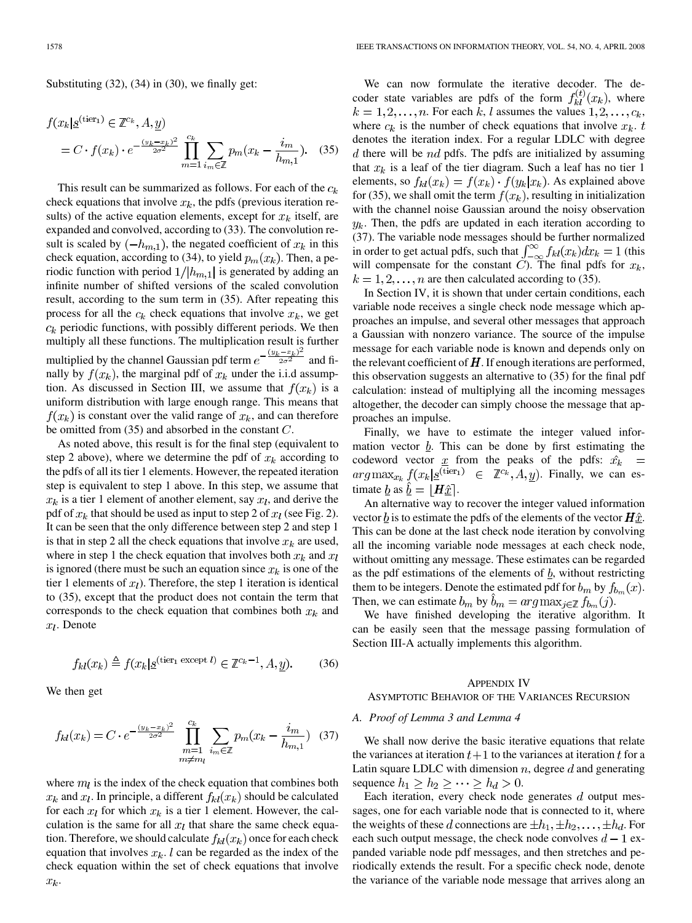Substituting  $(32)$ ,  $(34)$  in  $(30)$ , we finally get:

$$
f(x_k | \underline{s}^{(\text{tier}_1)} \in \mathbb{Z}^{c_k}, A, \underline{y})
$$
  
=  $C \cdot f(x_k) \cdot e^{-\frac{(y_k - x_k)^2}{2\sigma^2}} \prod_{m=1}^{c_k} \sum_{i_m \in \mathbb{Z}} p_m(x_k - \frac{i_m}{h_{m,1}}).$  (35)

This result can be summarized as follows. For each of the  $c_k$ check equations that involve  $x_k$ , the pdfs (previous iteration results) of the active equation elements, except for  $x_k$  itself, are expanded and convolved, according to (33). The convolution result is scaled by  $(-h_{m,1})$ , the negated coefficient of  $x_k$  in this check equation, according to (34), to yield  $p_m(x_k)$ . Then, a periodic function with period  $1/|h_{m,1}|$  is generated by adding an infinite number of shifted versions of the scaled convolution result, according to the sum term in (35). After repeating this process for all the  $c_k$  check equations that involve  $x_k$ , we get  $c_k$  periodic functions, with possibly different periods. We then multiply all these functions. The multiplication result is further multiplied by the channel Gaussian pdf term  $e^{-\frac{(y_k - x_k)^2}{2\sigma^2}}$  and finally by  $f(x_k)$ , the marginal pdf of  $x_k$  under the i.i.d assumption. As discussed in Section III, we assume that  $f(x_k)$  is a uniform distribution with large enough range. This means that  $f(x_k)$  is constant over the valid range of  $x_k$ , and can therefore be omitted from  $(35)$  and absorbed in the constant  $C$ .

As noted above, this result is for the final step (equivalent to step 2 above), where we determine the pdf of  $x_k$  according to the pdfs of all its tier 1 elements. However, the repeated iteration step is equivalent to step 1 above. In this step, we assume that  $x_k$  is a tier 1 element of another element, say  $x_l$ , and derive the pdf of  $x_k$  that should be used as input to step 2 of  $x_l$  (see Fig. 2). It can be seen that the only difference between step 2 and step 1 is that in step 2 all the check equations that involve  $x_k$  are used, where in step 1 the check equation that involves both  $x_k$  and  $x_l$ is ignored (there must be such an equation since  $x_k$  is one of the tier 1 elements of  $x_l$ ). Therefore, the step 1 iteration is identical to (35), except that the product does not contain the term that corresponds to the check equation that combines both  $x_k$  and  $x_l$ . Denote

$$
f_{kl}(x_k) \triangleq f(x_k | \underline{s}^{(\text{tier}_1 \text{ except } l)} \in \mathbb{Z}^{c_k - 1}, A, \underline{y}).\tag{36}
$$

We then get

$$
f_{kl}(x_k) = C \cdot e^{-\frac{(y_k - x_k)^2}{2\sigma^2}} \prod_{\substack{m=1 \ m \neq m}}^{c_k} \sum_{i_m \in \mathbb{Z}} p_m(x_k - \frac{i_m}{h_{m,1}}) \quad (37)
$$

where  $m_l$  is the index of the check equation that combines both  $x_k$  and  $x_l$ . In principle, a different  $f_{kl}(x_k)$  should be calculated for each  $x_l$  for which  $x_k$  is a tier 1 element. However, the calculation is the same for all  $x_l$  that share the same check equation. Therefore, we should calculate  $f_{kl}(x_k)$  once for each check equation that involves  $x_k$ . l can be regarded as the index of the check equation within the set of check equations that involve  $x_k$ .

We can now formulate the iterative decoder. The decoder state variables are pdfs of the form  $f_{kl}^{(t)}(x_k)$ , where  $k = 1, 2, \ldots, n$ . For each k, l assumes the values  $1, 2, \ldots, c_k$ , where  $c_k$  is the number of check equations that involve  $x_k$ . t denotes the iteration index. For a regular LDLC with degree  $d$  there will be  $nd$  pdfs. The pdfs are initialized by assuming that  $x_k$  is a leaf of the tier diagram. Such a leaf has no tier 1 elements, so  $f_{kl}(x_k) = f(x_k) \cdot f(y_k | x_k)$ . As explained above for (35), we shall omit the term  $f(x_k)$ , resulting in initialization with the channel noise Gaussian around the noisy observation  $y_k$ . Then, the pdfs are updated in each iteration according to (37). The variable node messages should be further normalized in order to get actual pdfs, such that  $\int_{-\infty}^{\infty} f_{kl}(x_k) dx_k = 1$  (this will compensate for the constant  $C$ ). The final pdfs for  $x_k$ ,  $k = 1, 2, \ldots, n$  are then calculated according to (35).

In Section IV, it is shown that under certain conditions, each variable node receives a single check node message which approaches an impulse, and several other messages that approach a Gaussian with nonzero variance. The source of the impulse message for each variable node is known and depends only on the relevant coefficient of  $\bm{H}$ . If enough iterations are performed, this observation suggests an alternative to (35) for the final pdf calculation: instead of multiplying all the incoming messages altogether, the decoder can simply choose the message that approaches an impulse.

Finally, we have to estimate the integer valued information vector  $b$ . This can be done by first estimating the codeword vector  $\underline{x}$  from the peaks of the pdfs:  $\hat{x_k}$  =  $arg \max_{x_k} f(x_k | \underline{s}^{\overline{\text{(tier)}}}) \in \mathbb{Z}^{c_k}, A, y)$ . Finally, we can estimate <u>b</u> as  $\underline{b} = |\mathbf{H}\hat{x}|$ .

An alternative way to recover the integer valued information vector  $\underline{b}$  is to estimate the pdfs of the elements of the vector  $H \hat{\underline{x}}$ . This can be done at the last check node iteration by convolving all the incoming variable node messages at each check node, without omitting any message. These estimates can be regarded as the pdf estimations of the elements of  $b<sub>2</sub>$ , without restricting them to be integers. Denote the estimated pdf for  $b_m$  by  $f_{b_m}(x)$ . Then, we can estimate  $b_m$  by  $\tilde{b}_m = \arg \max_{j \in \mathbb{Z}} f_{b_m}(j)$ .

We have finished developing the iterative algorithm. It can be easily seen that the message passing formulation of Section III-A actually implements this algorithm.

#### APPENDIX IV

#### ASYMPTOTIC BEHAVIOR OF THE VARIANCES RECURSION

#### *A. Proof of Lemma 3 and Lemma 4*

We shall now derive the basic iterative equations that relate the variances at iteration  $t+1$  to the variances at iteration t for a Latin square LDLC with dimension  $n$ , degree  $d$  and generating sequence  $h_1 \geq h_2 \geq \cdots \geq h_d > 0$ .

Each iteration, every check node generates  $d$  output messages, one for each variable node that is connected to it, where the weights of these d connections are  $\pm h_1, \pm h_2, \ldots, \pm h_d$ . For each such output message, the check node convolves  $d-1$  expanded variable node pdf messages, and then stretches and periodically extends the result. For a specific check node, denote the variance of the variable node message that arrives along an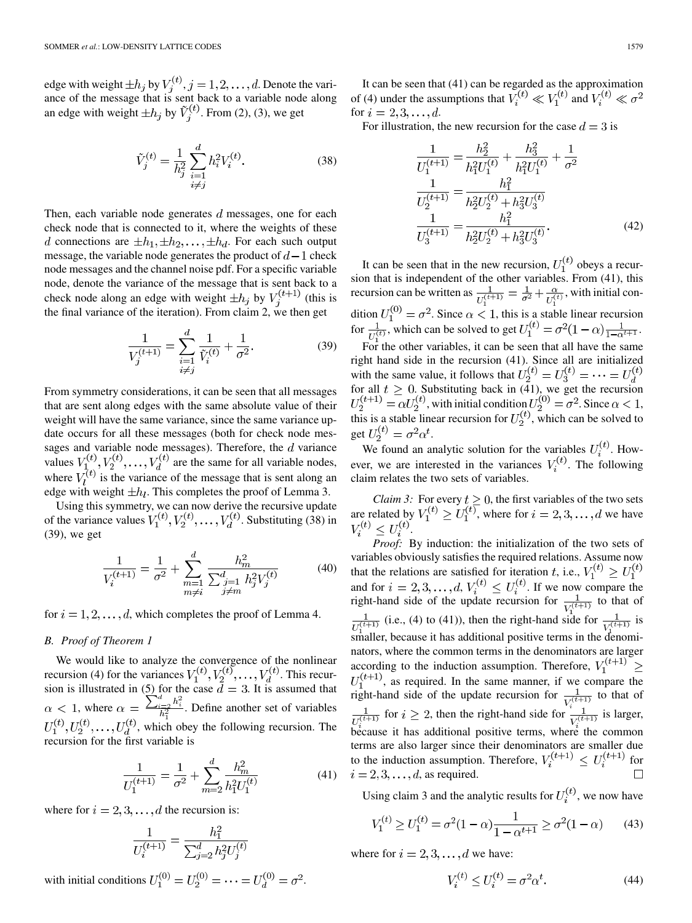edge with weight  $\pm h_i$  by  $V_i^{(i)}$ ,  $j = 1, 2, ..., d$ . Denote the variance of the message that is sent back to a variable node along an edge with weight  $\pm h_j$  by  $\tilde{V}_i^{(t)}$ . From (2), (3), we get

$$
\tilde{V}_j^{(t)} = \frac{1}{h_j^2} \sum_{\substack{i=1 \ i \neq j}}^d h_i^2 V_i^{(t)}.
$$
\n(38)

Then, each variable node generates  $d$  messages, one for each check node that is connected to it, where the weights of these d connections are  $\pm h_1, \pm h_2, \ldots, \pm h_d$ . For each such output message, the variable node generates the product of  $d-1$  check node messages and the channel noise pdf. For a specific variable node, denote the variance of the message that is sent back to a check node along an edge with weight  $\pm h_j$  by  $V_j^{(t+1)}$  (this is the final variance of the iteration). From claim 2, we then get

$$
\frac{1}{V_j^{(t+1)}} = \sum_{\substack{i=1 \ i \neq j}}^d \frac{1}{\tilde{V}_i^{(t)}} + \frac{1}{\sigma^2}.
$$
 (39)

From symmetry considerations, it can be seen that all messages that are sent along edges with the same absolute value of their weight will have the same variance, since the same variance update occurs for all these messages (both for check node messages and variable node messages). Therefore, the  $d$  variance values  $V_1^{(t)}, V_2^{(t)}, \ldots, V_d^{(t)}$  are the same for all variable nodes, where  $V_l^{(t)}$  is the variance of the message that is sent along an edge with weight  $\pm h_l$ . This completes the proof of Lemma 3.

Using this symmetry, we can now derive the recursive update of the variance values  $V_1^{(t)}, V_2^{(t)}, \ldots, V_d^{(t)}$ . Substituting (38) in (39), we get

$$
\frac{1}{V_i^{(t+1)}} = \frac{1}{\sigma^2} + \sum_{\substack{m=1 \ m \neq i}}^d \frac{h_m^2}{\sum_{\substack{j=1 \ j \neq m}}^d h_j^2 V_j^{(t)}} \tag{40}
$$

for  $i = 1, 2, \dots, d$ , which completes the proof of Lemma 4.

#### *B. Proof of Theorem 1*

We would like to analyze the convergence of the nonlinear recursion (4) for the variances  $V_1^{(t)}, V_2^{(t)}, \ldots, V_d^{(t)}$ . This recursion is illustrated in (5) for the case  $d = 3$ . It is assumed that , where  $\alpha = \frac{\sum_{i=2}^{n} a_i}{b^2}$ . Define another set of variables  $U_1^{(t)}, U_2^{(t)}, \ldots, U_d^{(t)}$ , which obey the following recursion. The recursion for the first variable is

$$
\frac{1}{U_1^{(t+1)}} = \frac{1}{\sigma^2} + \sum_{m=2}^{d} \frac{h_m^2}{h_1^2 U_1^{(t)}}\tag{41}
$$

 $\sim$   $\sim$ 

where for  $i = 2, 3, \ldots, d$  the recursion is:

$$
\frac{1}{U_i^{(t+1)}} = \frac{h_1^2}{\sum_{j=2}^d h_j^2 U_j^{(t)}}
$$

with initial conditions  $U_1^{(0)} = U_2^{(0)} = \cdots = U_d^{(0)} = \sigma^2$ .

It can be seen that (41) can be regarded as the approximation of (4) under the assumptions that  $V_i^{(t)} \ll V_1^{(t)}$  and  $V_i^{(t)} \ll \sigma^2$ for  $i = 2, 3, ..., d$ .

For illustration, the new recursion for the case  $d = 3$  is

$$
\frac{1}{U_1^{(t+1)}} = \frac{h_2^2}{h_1^2 U_1^{(t)}} + \frac{h_3^2}{h_1^2 U_1^{(t)}} + \frac{1}{\sigma^2}
$$

$$
\frac{1}{U_2^{(t+1)}} = \frac{h_1^2}{h_2^2 U_2^{(t)}} + h_3^2 U_3^{(t)}
$$

$$
\frac{1}{U_3^{(t+1)}} = \frac{h_1^2}{h_2^2 U_2^{(t)}} + h_3^2 U_3^{(t)}.
$$
(42)

It can be seen that in the new recursion,  $U_1^{(t)}$  obeys a recursion that is independent of the other variables. From (41), this recursion can be written as  $\frac{1}{\tau^{(t+1)}} = \frac{1}{\tau^2} + \frac{\alpha}{\tau^{(t)}}$ , with initial condition  $U_1^{(0)} = \sigma^2$ . Since  $\alpha < 1$ , this is a stable linear recursion for  $\frac{1}{\tau^{(t)}}$ , which can be solved to get  $U_1^{(t)} = \sigma^2(1-\alpha)\frac{1}{1-\alpha^{t+1}}$ .

For the other variables, it can be seen that all have the same right hand side in the recursion (41). Since all are initialized with the same value, it follows that  $U_2^{(t)} = U_3^{(t)} = \cdots = U_d^{(t)}$ for all  $t \geq 0$ . Substituting back in (41), we get the recursion , with initial condition  $U_2^{(0)} = \sigma^2$ . Since  $\alpha < 1$ , this is a stable linear recursion for  $U_2^{(t)}$ , which can be solved to get  $U_2^{(t)} = \sigma^2 \alpha^t$ .

We found an analytic solution for the variables  $U_i^{(t)}$ . However, we are interested in the variances  $V_i^{(t)}$ . The following claim relates the two sets of variables.

*Claim 3:* For every  $t \geq 0$ , the first variables of the two sets are related by  $V_1^{(i)} \geq U_1^{(i)}$ , where for  $i = 2, 3, ..., d$  we have .

*Proof:* By induction: the initialization of the two sets of variables obviously satisfies the required relations. Assume now that the relations are satisfied for iteration  $t$ , i.e., and for  $i = 2, 3, ..., d$ ,  $V_i^{(t)} \leq U_i^{(t)}$ . If we now compare the right-hand side of the update recursion for  $\frac{1}{\tau \sqrt{(t+1)}}$  to that of  $\frac{1}{U^{(t+1)}}$  (i.e., (4) to (41)), then the right-hand side for  $\frac{1}{V^{(t+1)}}$  is smaller, because it has additional positive terms in the denominators, where the common terms in the denominators are larger according to the induction assumption. Therefore,  $V_1^{(t+1)}$   $\geq$  $U_1^{(t+1)}$ , as required. In the same manner, if we compare the right-hand side of the update recursion for  $\frac{1}{V^{(t+1)}}$  to that of  $\frac{1}{U^{(t+1)}}$  for  $i \ge 2$ , then the right-hand side for  $\frac{1}{V^{(t+1)}}$  is larger, because it has additional positive terms, where the common terms are also larger since their denominators are smaller due to the induction assumption. Therefore,  $V_i^{(t+1)} \le U_i^{(t+1)}$  for  $i = 2, 3, \ldots, d$ , as required.

Using claim 3 and the analytic results for  $U_i^{(t)}$ , we now have

$$
V_1^{(t)} \ge U_1^{(t)} = \sigma^2 (1 - \alpha) \frac{1}{1 - \alpha^{t+1}} \ge \sigma^2 (1 - \alpha) \tag{43}
$$

where for  $i = 2, 3, \ldots, d$  we have:

$$
V_i^{(t)} \le U_i^{(t)} = \sigma^2 \alpha^t. \tag{44}
$$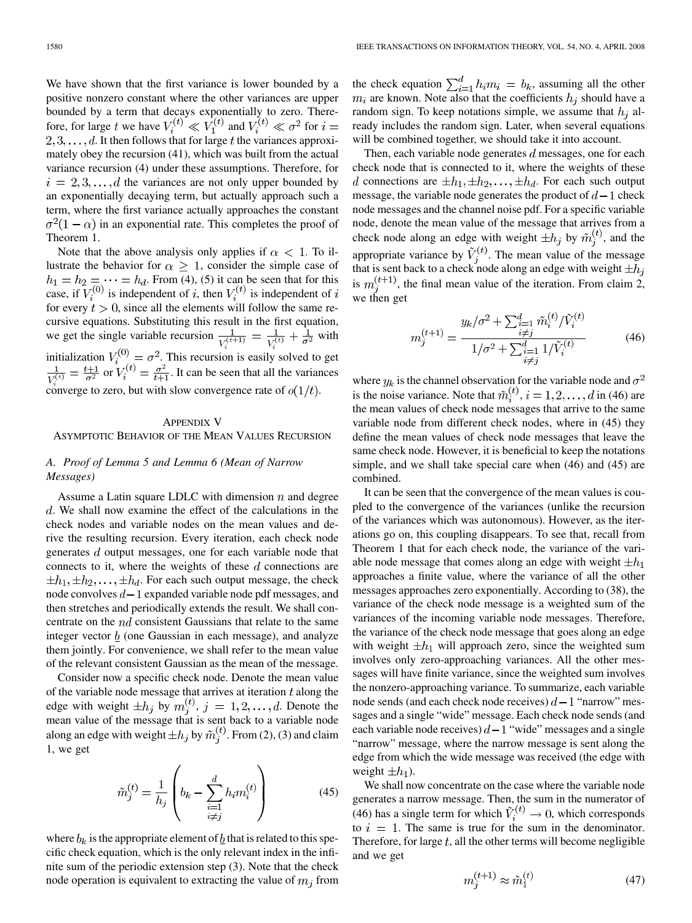We have shown that the first variance is lower bounded by a positive nonzero constant where the other variances are upper bounded by a term that decays exponentially to zero. Therefore, for large t we have  $V_i^{(t)} \ll V_1^{(t)}$  and  $V_i^{(t)} \ll \sigma^2$  for  $i =$  $2, 3, \ldots, d$ . It then follows that for large t the variances approximately obey the recursion (41), which was built from the actual variance recursion (4) under these assumptions. Therefore, for  $i = 2, 3, \ldots, d$  the variances are not only upper bounded by an exponentially decaying term, but actually approach such a term, where the first variance actually approaches the constant  $\sigma^2(1-\alpha)$  in an exponential rate. This completes the proof of Theorem 1.

Note that the above analysis only applies if  $\alpha < 1$ . To illustrate the behavior for  $\alpha \geq 1$ , consider the simple case of . From (4), (5) it can be seen that for this case, if  $V_i^{(0)}$  is independent of i, then  $V_i^{(i)}$  is independent of for every  $t > 0$ , since all the elements will follow the same recursive equations. Substituting this result in the first equation, we get the single variable recursion  $\frac{1}{V_s^{(t+1)}} = \frac{1}{V_s^{(t)}} + \frac{1}{\sigma^2}$  with initialization  $V_i^{(0)} = \sigma^2$ . This recursion is easily solved to get or  $V_i^{(l)} = \frac{\sigma^2}{l+1}$ . It can be seen that all the variances converge to zero, but with slow convergence rate of  $o(1/t)$ .

# APPENDIX V

# ASYMPTOTIC BEHAVIOR OF THE MEAN VALUES RECURSION

# *A. Proof of Lemma 5 and Lemma 6 (Mean of Narrow Messages)*

Assume a Latin square LDLC with dimension  $n$  and degree d. We shall now examine the effect of the calculations in the check nodes and variable nodes on the mean values and derive the resulting recursion. Every iteration, each check node generates  $d$  output messages, one for each variable node that connects to it, where the weights of these  $d$  connections are  $\pm h_1, \pm h_2, \ldots, \pm h_d$ . For each such output message, the check node convolves  $d-1$  expanded variable node pdf messages, and then stretches and periodically extends the result. We shall concentrate on the  $nd$  consistent Gaussians that relate to the same integer vector  $b$  (one Gaussian in each message), and analyze them jointly. For convenience, we shall refer to the mean value of the relevant consistent Gaussian as the mean of the message.

Consider now a specific check node. Denote the mean value of the variable node message that arrives at iteration  $t$  along the edge with weight  $\pm h_j$  by  $m_j^{(t)}$ ,  $j = 1, 2, ..., d$ . Denote the mean value of the message that is sent back to a variable node along an edge with weight  $\pm h_j$  by  $\tilde{m}_i^{(t)}$ . From (2), (3) and claim 1, we get

$$
\tilde{m}_{j}^{(t)} = \frac{1}{h_{j}} \left( b_{k} - \sum_{\substack{i=1 \\ i \neq j}}^{d} h_{i} m_{i}^{(t)} \right)
$$
(45)

where  $b_k$  is the appropriate element of  $\underline{b}$  that is related to this specific check equation, which is the only relevant index in the infinite sum of the periodic extension step (3). Note that the check node operation is equivalent to extracting the value of  $m_j$  from the check equation  $\sum_{i=1}^{d} h_i m_i = b_k$ , assuming all the other  $m_i$  are known. Note also that the coefficients  $h_j$  should have a random sign. To keep notations simple, we assume that  $h_i$  already includes the random sign. Later, when several equations will be combined together, we should take it into account.

Then, each variable node generates  $d$  messages, one for each check node that is connected to it, where the weights of these d connections are  $\pm h_1, \pm h_2, \ldots, \pm h_d$ . For each such output message, the variable node generates the product of  $d-1$  check node messages and the channel noise pdf. For a specific variable node, denote the mean value of the message that arrives from a check node along an edge with weight  $\pm h_j$  by  $\tilde{m}_i^{(t)}$ , and the appropriate variance by  $\tilde{V}_i^{(t)}$ . The mean value of the message that is sent back to a check node along an edge with weight  $\pm h_i$ is  $m_i^{(t+1)}$ , the final mean value of the iteration. From claim 2, we then get

$$
m_j^{(t+1)} = \frac{y_k/\sigma^2 + \sum_{\substack{i=1 \ i \neq j}}^d \tilde{m}_i^{(t)} / \tilde{V}_i^{(t)}}{1/\sigma^2 + \sum_{\substack{i=1 \ i \neq j}}^d 1/\tilde{V}_i^{(t)}}
$$
(46)

where  $y_k$  is the channel observation for the variable node and  $\sigma^2$ is the noise variance. Note that  $\tilde{m}_i^{(t)}$ ,  $i = 1, 2, ..., d$  in (46) are the mean values of check node messages that arrive to the same variable node from different check nodes, where in (45) they define the mean values of check node messages that leave the same check node. However, it is beneficial to keep the notations simple, and we shall take special care when (46) and (45) are combined.

It can be seen that the convergence of the mean values is coupled to the convergence of the variances (unlike the recursion of the variances which was autonomous). However, as the iterations go on, this coupling disappears. To see that, recall from Theorem 1 that for each check node, the variance of the variable node message that comes along an edge with weight  $\pm h_1$ approaches a finite value, where the variance of all the other messages approaches zero exponentially. According to (38), the variance of the check node message is a weighted sum of the variances of the incoming variable node messages. Therefore, the variance of the check node message that goes along an edge with weight  $\pm h_1$  will approach zero, since the weighted sum involves only zero-approaching variances. All the other messages will have finite variance, since the weighted sum involves the nonzero-approaching variance. To summarize, each variable node sends (and each check node receives)  $d-1$  "narrow" messages and a single "wide" message. Each check node sends (and each variable node receives)  $d-1$  "wide" messages and a single "narrow" message, where the narrow message is sent along the edge from which the wide message was received (the edge with weight  $\pm h_1$ ).

We shall now concentrate on the case where the variable node generates a narrow message. Then, the sum in the numerator of (46) has a single term for which  $V_i^{(t)} \rightarrow 0$ , which corresponds to  $i = 1$ . The same is true for the sum in the denominator. Therefore, for large  $t$ , all the other terms will become negligible and we get

Î

$$
n_j^{(t+1)} \approx \tilde{m}_1^{(t)} \tag{47}
$$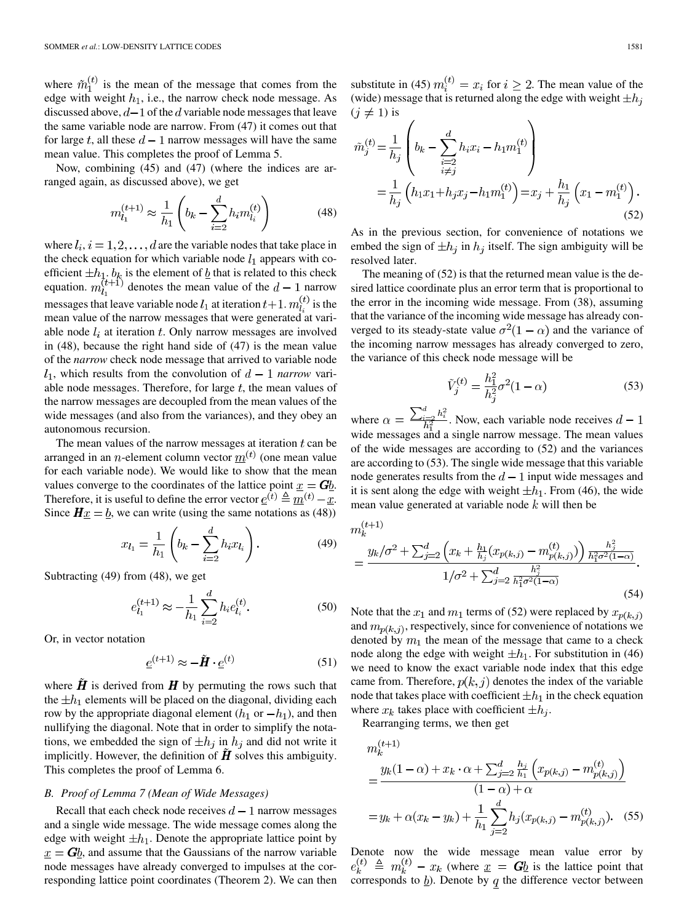where  $\tilde{m}_1^{(t)}$  is the mean of the message that comes from the edge with weight  $h_1$ , i.e., the narrow check node message. As discussed above,  $d-1$  of the d variable node messages that leave the same variable node are narrow. From (47) it comes out that for large t, all these  $d-1$  narrow messages will have the same mean value. This completes the proof of Lemma 5.

Now, combining (45) and (47) (where the indices are arranged again, as discussed above), we get

$$
m_{l_1}^{(t+1)} \approx \frac{1}{h_1} \left( b_k - \sum_{i=2}^d h_i m_{l_i}^{(t)} \right) \tag{48}
$$

where  $l_i$ ,  $i = 1, 2, \ldots, d$  are the variable nodes that take place in the check equation for which variable node  $l_1$  appears with coefficient  $\pm h_1$ .  $b_k$  is the element of  $\underline{b}$  that is related to this check equation.  $m_{l_1}^{(t+1)}$  denotes the mean value of the  $d-1$  narrow messages that leave variable node  $l_1$  at iteration  $t+1$ .  $m_l^{(t)}$  is the mean value of the narrow messages that were generated at variable node  $l_i$  at iteration t. Only narrow messages are involved in (48), because the right hand side of (47) is the mean value of the *narrow* check node message that arrived to variable node  $l_1$ , which results from the convolution of  $d-1$  *narrow* variable node messages. Therefore, for large  $t$ , the mean values of the narrow messages are decoupled from the mean values of the wide messages (and also from the variances), and they obey an autonomous recursion.

The mean values of the narrow messages at iteration  $t$  can be arranged in an *n*-element column vector  $m^{(t)}$  (one mean value for each variable node). We would like to show that the mean values converge to the coordinates of the lattice point  $x = Gb$ . Therefore, it is useful to define the error vector  $\underline{e}^{(t)} \triangleq \underline{m}^{(t)} - \underline{x}$ . Since  $H\underline{x} = \underline{b}$ , we can write (using the same notations as (48))

$$
x_{l_1} = \frac{1}{h_1} \left( b_k - \sum_{i=2}^d h_i x_{l_i} \right). \tag{49}
$$

Subtracting (49) from (48), we get

$$
e_{l_1}^{(t+1)} \approx -\frac{1}{h_1} \sum_{i=2}^{d} h_i e_{l_i}^{(t)}.
$$
 (50)

Or, in vector notation

$$
\underline{e}^{(t+1)} \approx -\tilde{H} \cdot \underline{e}^{(t)} \tag{51}
$$

where  $\hat{H}$  is derived from  $H$  by permuting the rows such that the  $\pm h_1$  elements will be placed on the diagonal, dividing each row by the appropriate diagonal element  $(h_1 \text{ or } -h_1)$ , and then nullifying the diagonal. Note that in order to simplify the notations, we embedded the sign of  $\pm h_j$  in  $h_j$  and did not write it implicitly. However, the definition of  $H$  solves this ambiguity. This completes the proof of Lemma 6.

# *B. Proof of Lemma 7 (Mean of Wide Messages)*

Recall that each check node receives  $d-1$  narrow messages and a single wide message. The wide message comes along the edge with weight  $\pm h_1$ . Denote the appropriate lattice point by  $x = Gb$ , and assume that the Gaussians of the narrow variable node messages have already converged to impulses at the corresponding lattice point coordinates (Theorem 2). We can then substitute in (45)  $m_i^{(t)} = x_i$  for  $i \ge 2$ . The mean value of the (wide) message that is returned along the edge with weight  $\pm h_i$  $(i \neq 1)$  is

$$
\tilde{m}_{j}^{(t)} = \frac{1}{h_{j}} \left( b_{k} - \sum_{\substack{i=2 \\ i \neq j}}^{d} h_{i} x_{i} - h_{1} m_{1}^{(t)} \right) \n= \frac{1}{h_{j}} \left( h_{1} x_{1} + h_{j} x_{j} - h_{1} m_{1}^{(t)} \right) = x_{j} + \frac{h_{1}}{h_{j}} \left( x_{1} - m_{1}^{(t)} \right).
$$
\n(52)

As in the previous section, for convenience of notations we embed the sign of  $\pm h_j$  in  $h_j$  itself. The sign ambiguity will be resolved later.

The meaning of (52) is that the returned mean value is the desired lattice coordinate plus an error term that is proportional to the error in the incoming wide message. From (38), assuming that the variance of the incoming wide message has already converged to its steady-state value  $\sigma^2(1-\alpha)$  and the variance of the incoming narrow messages has already converged to zero, the variance of this check node message will be

$$
\tilde{V}_j^{(t)} = \frac{h_1^2}{h_j^2} \sigma^2 (1 - \alpha)
$$
\n(53)

where  $\alpha = \frac{\sum_{i=2}^{d} h_i^2}{h_1^2}$ . Now, each variable node receives  $d-1$ wide messages and a single narrow message. The mean values of the wide messages are according to (52) and the variances are according to (53). The single wide message that this variable node generates results from the  $d-1$  input wide messages and it is sent along the edge with weight  $\pm h_1$ . From (46), the wide mean value generated at variable node  $k$  will then be

$$
m_k^{(t+1)} = \frac{y_k/\sigma^2 + \sum_{j=2}^d \left(x_k + \frac{h_1}{h_j}(x_{p(k,j)} - m_{p(k,j)}^{(t)})\right) \frac{h_j^2}{h_1^2 \sigma^2 (1-\alpha)}}{1/\sigma^2 + \sum_{j=2}^d \frac{h_j^2}{h_1^2 \sigma^2 (1-\alpha)}}.
$$
\n(54)

Note that the  $x_1$  and  $m_1$  terms of (52) were replaced by  $x_{p(k, j)}$ and  $m_{p(k, i)}$ , respectively, since for convenience of notations we denoted by  $m_1$  the mean of the message that came to a check node along the edge with weight  $\pm h_1$ . For substitution in (46) we need to know the exact variable node index that this edge came from. Therefore,  $p(k, j)$  denotes the index of the variable node that takes place with coefficient  $\pm h_1$  in the check equation where  $x_k$  takes place with coefficient  $\pm h_i$ .

Rearranging terms, we then get

$$
m_k^{(t+1)} = \frac{y_k(1-\alpha) + x_k \cdot \alpha + \sum_{j=2}^d \frac{h_j}{h_1} \left( x_{p(k,j)} - m_{p(k,j)}^{(t)} \right)}{(1-\alpha) + \alpha}
$$

$$
= y_k + \alpha (x_k - y_k) + \frac{1}{h_1} \sum_{j=2}^d h_j(x_{p(k,j)} - m_{p(k,j)}^{(t)}). \quad (55)
$$

Denote now the wide message mean value error by  $e_k^{(t)} \triangleq m_k^{(t)} - x_k$  (where  $\underline{x} = G\underline{b}$  is the lattice point that corresponds to  $\underline{b}$ ). Denote by q the difference vector between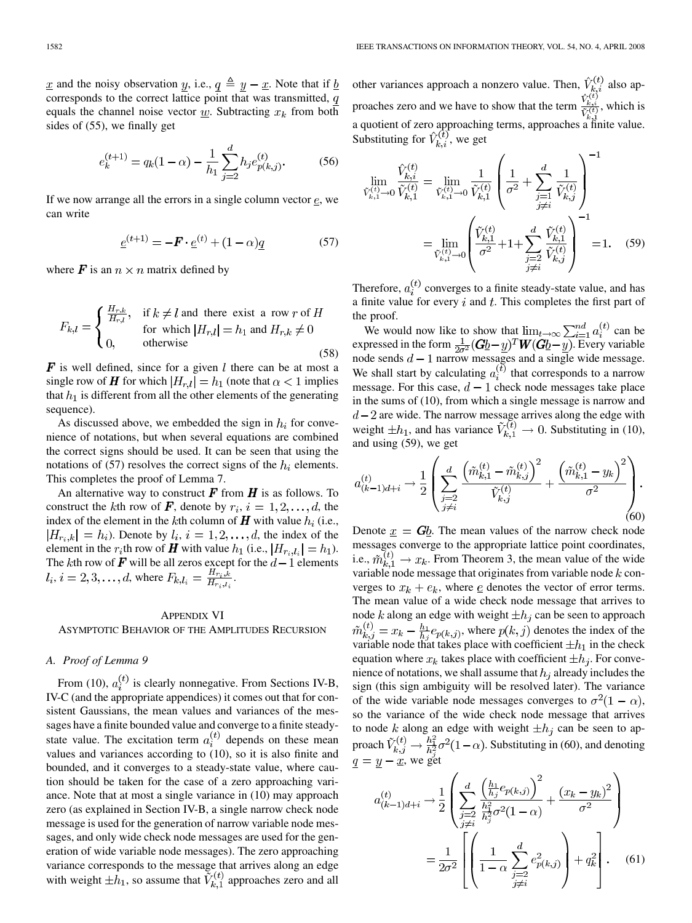$\underline{x}$  and the noisy observation  $\underline{y}$ , i.e.,  $\underline{q} \triangleq \underline{y} - \underline{x}$ . Note that if  $\underline{b}$ corresponds to the correct lattice point that was transmitted,  $q$ equals the channel noise vector  $\underline{w}$ . Subtracting  $x_k$  from both sides of (55), we finally get

$$
e_k^{(t+1)} = q_k(1-\alpha) - \frac{1}{h_1} \sum_{j=2}^d h_j e_{p(k,j)}^{(t)}.
$$
 (56)

If we now arrange all the errors in a single column vector  $e$ , we can write

$$
\underline{e}^{(t+1)} = -\bm{F} \cdot \underline{e}^{(t)} + (1 - \alpha)\underline{q} \tag{57}
$$

where  $\mathbf{F}$  is an  $n \times n$  matrix defined by

$$
F_{k,l} = \begin{cases} \frac{H_{r,k}}{H_{r,l}}, & \text{if } k \neq l \text{ and there exist a row } r \text{ of } H \\ & \text{for which } |H_{r,l}| = h_1 \text{ and } H_{r,k} \neq 0 \\ 0, & \text{otherwise} \end{cases}
$$
(58)

 $\mathbf{F}$  is well defined, since for a given l there can be at most a single row of H for which  $|H_{r,l}| = h_1$  (note that  $\alpha < 1$  implies that  $h_1$  is different from all the other elements of the generating sequence).

As discussed above, we embedded the sign in  $h_i$  for convenience of notations, but when several equations are combined the correct signs should be used. It can be seen that using the notations of (57) resolves the correct signs of the  $h_i$  elements. This completes the proof of Lemma 7.

An alternative way to construct  $\boldsymbol{F}$  from  $\boldsymbol{H}$  is as follows. To construct the kth row of  $\vec{F}$ , denote by  $r_i$ ,  $i = 1, 2, \ldots, d$ , the index of the element in the kth column of  $H$  with value  $h_i$  (i.e.,  $|H_{r_i,k}| = h_i$ ). Denote by  $l_i, i = 1, 2, \ldots, d$ , the index of the element in the  $r_i$ th row of **H** with value  $h_1$  (i.e.,  $|H_{r_i, l_i}| = h_1$ ). The kth row of  $\bm{F}$  will be all zeros except for the  $d-1$  elements ,  $i = 2, 3, ..., d$ , where  $F_{k,l_i} = \frac{H_{r_i,k}}{H_{r_i,l_i}}$ .

#### APPENDIX VI

ASYMPTOTIC BEHAVIOR OF THE AMPLITUDES RECURSION

# *A. Proof of Lemma 9*

From (10),  $a_i^{(t)}$  is clearly nonnegative. From Sections IV-B, IV-C (and the appropriate appendices) it comes out that for consistent Gaussians, the mean values and variances of the messages have a finite bounded value and converge to a finite steadystate value. The excitation term  $a_i^{(t)}$  depends on these mean values and variances according to (10), so it is also finite and bounded, and it converges to a steady-state value, where caution should be taken for the case of a zero approaching variance. Note that at most a single variance in (10) may approach zero (as explained in Section IV-B, a single narrow check node message is used for the generation of narrow variable node messages, and only wide check node messages are used for the generation of wide variable node messages). The zero approaching variance corresponds to the message that arrives along an edge with weight  $\pm h_1$ , so assume that  $\tilde{V}_{k,1}^{(t)}$  approaches zero and all other variances approach a nonzero value. Then,  $\hat{V}_{k,i}^{(t)}$  also approaches zero and we have to show that the term  $\frac{\hat{V}_{k,i}^{(i)}}{\hat{V}^{(t)}}$ , which is a quotient of zero approaching terms, approaches a finite value. Substituting for  $\hat{V}_{k,i}^{(t)}$ , we get

$$
\lim_{\tilde{V}_{k,1}^{(t)} \to 0} \frac{\hat{V}_{k,i}^{(t)}}{\tilde{V}_{k,1}^{(t)}} = \lim_{\tilde{V}_{k,1}^{(t)} \to 0} \frac{1}{\tilde{V}_{k,1}^{(t)}} \left( \frac{1}{\sigma^2} + \sum_{\substack{j=1 \ j \neq i}}^d \frac{1}{\tilde{V}_{k,j}^{(t)}} \right)^{-1}
$$
\n
$$
= \lim_{\tilde{V}_{k,1}^{(t)} \to 0} \left( \frac{\tilde{V}_{k,1}^{(t)}}{\sigma^2} + 1 + \sum_{\substack{j=2 \ j \neq i}}^d \frac{\tilde{V}_{k,1}^{(t)}}{\tilde{V}_{k,j}^{(t)}} \right)^{-1} = 1. \quad (59)
$$

Therefore,  $a_i^{(t)}$  converges to a finite steady-state value, and has a finite value for every  $i$  and  $t$ . This completes the first part of the proof.

We would now like to show that  $\lim_{t\to\infty}\sum_{i=1}^{na} a_i^{(t)}$  can be expressed in the form  $\frac{1}{2a^2}(\mathbf{G}b - y)^T \mathbf{W}(\mathbf{G}b - y)$ . Every variable node sends  $d-1$  narrow messages and a single wide message. We shall start by calculating  $a_i^{(\tilde{t})}$  that corresponds to a narrow message. For this case,  $d-1$  check node messages take place in the sums of (10), from which a single message is narrow and are wide. The narrow message arrives along the edge with weight  $\pm h_1$ , and has variance  $V_{k,1}^{(t)} \rightarrow 0$ . Substituting in (10), and using (59), we get

$$
a_{(k-1)d+i}^{(t)} \to \frac{1}{2} \left( \sum_{\substack{j=2 \ j \neq i}}^d \frac{\left( \tilde{m}_{k,1}^{(t)} - \tilde{m}_{k,j}^{(t)} \right)^2}{\tilde{V}_{k,j}^{(t)}} + \frac{\left( \tilde{m}_{k,1}^{(t)} - y_k \right)^2}{\sigma^2} \right). \tag{60}
$$

Denote  $x = Gb$ . The mean values of the narrow check node messages converge to the appropriate lattice point coordinates, i.e.,  $\tilde{m}_{k,1}^{(t)} \rightarrow x_k$ . From Theorem 3, the mean value of the wide variable node message that originates from variable node  $k$  converges to  $x_k + e_k$ , where <u>e</u> denotes the vector of error terms. The mean value of a wide check node message that arrives to node k along an edge with weight  $\pm h_i$  can be seen to approach  $\tilde{m}_{k,j}^{(t)} = x_k - \frac{h_1}{h_j} e_{p(k,j)}$ , where  $p(k,j)$  denotes the index of the variable node that takes place with coefficient  $\pm h_1$  in the check equation where  $x_k$  takes place with coefficient  $\pm h_i$ . For convenience of notations, we shall assume that  $h_i$  already includes the sign (this sign ambiguity will be resolved later). The variance of the wide variable node messages converges to  $\sigma^2(1-\alpha)$ , so the variance of the wide check node message that arrives to node k along an edge with weight  $\pm h_j$  can be seen to approach  $\tilde{V}_{k,j}^{(t)} \rightarrow \frac{h_1^2}{h_2^2} \sigma^2 (1-\alpha)$ . Substituting in (60), and denoting  $q = y - \underline{x}$ , we get

$$
a_{(k-1)d+i}^{(t)} \rightarrow \frac{1}{2} \left( \sum_{\substack{j=2 \\ j \neq i}}^d \frac{\left(\frac{h_1}{h_j} e_{p(k,j)}\right)^2}{\frac{h_1^2}{h_j^2} \sigma^2 (1-\alpha)} + \frac{\left(x_k - y_k\right)^2}{\sigma^2} \right)
$$

$$
= \frac{1}{2\sigma^2} \left[ \left(\frac{1}{1-\alpha} \sum_{\substack{j=2 \\ j \neq i}}^d e_{p(k,j)}^2\right) + q_k^2 \right]. \tag{61}
$$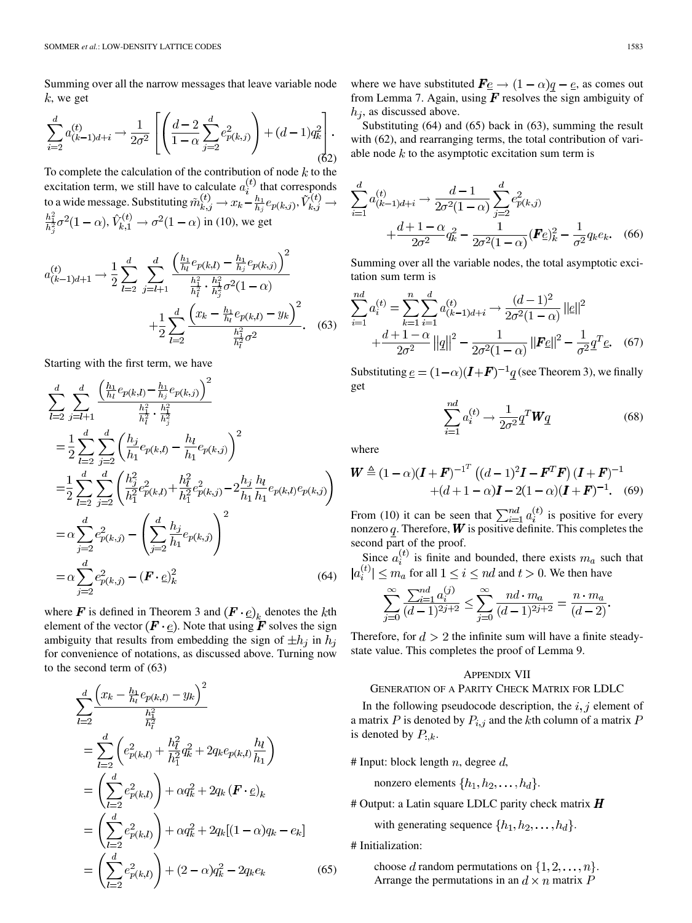Summing over all the narrow messages that leave variable node  $k$ , we get

$$
\sum_{i=2}^{d} a_{(k-1)d+i}^{(t)} \rightarrow \frac{1}{2\sigma^2} \left[ \left( \frac{d-2}{1-\alpha} \sum_{j=2}^{d} e_{p(k,j)}^2 \right) + (d-1)q_k^2 \right].
$$
\n(62)

To complete the calculation of the contribution of node  $k$  to the excitation term, we still have to calculate  $a_i^{(t)}$  that corresponds to a wide message. Substituting  $\tilde{m}_{k,i}^{(t)} \to x_k - \frac{h_1}{h_1} e_{p(k,i)},$ ,  $V_{k,1}^{(t)} \rightarrow \sigma^2(1-\alpha)$  in (10), we get

$$
a_{(k-1)d+1}^{(t)} \rightarrow \frac{1}{2} \sum_{l=2}^{d} \sum_{j=l+1}^{d} \frac{\left(\frac{h_1}{h_l} e_{p(k,l)} - \frac{h_1}{h_j} e_{p(k,j)}\right)^2}{\frac{h_1^2}{h_l^2} \cdot \frac{h_1^2}{h_j^2} \sigma^2 (1-\alpha)} + \frac{1}{2} \sum_{l=2}^{d} \frac{\left(x_k - \frac{h_1}{h_l} e_{p(k,l)} - y_k\right)^2}{\frac{h_1^2}{h_l^2} \sigma^2}.
$$
 (63)

Starting with the first term, we have

$$
\sum_{l=2}^{d} \sum_{j=l+1}^{d} \frac{\left(\frac{h_1}{h_l} e_{p(k,l)} - \frac{h_1}{h_j} e_{p(k,j)}\right)^2}{\frac{h_1^2}{h_l^2} \cdot \frac{h_1^2}{h_j^2}}\n\n= \frac{1}{2} \sum_{l=2}^{d} \sum_{j=2}^{d} \left(\frac{h_j}{h_1} e_{p(k,l)} - \frac{h_l}{h_1} e_{p(k,j)}\right)^2\n\n= \frac{1}{2} \sum_{l=2}^{d} \sum_{j=2}^{d} \left(\frac{h_j^2}{h_1^2} e_{p(k,l)}^2 + \frac{h_l^2}{h_1^2} e_{p(k,j)}^2 - 2\frac{h_j}{h_1} \frac{h_l}{h_1} e_{p(k,l)} e_{p(k,j)}\right)\n\n= \alpha \sum_{j=2}^{d} e_{p(k,j)}^2 - \left(\sum_{j=2}^{d} \frac{h_j}{h_1} e_{p(k,j)}\right)^2\n\n= \alpha \sum_{j=2}^{d} e_{p(k,j)}^2 - (\mathbf{F} \cdot \underline{e})_k^2
$$
\n(64)

where **F** is defined in Theorem 3 and  $(F \cdot \underline{e})_k$  denotes the kth element of the vector  $(F \cdot \underline{e})$ . Note that using  $F$  solves the sign ambiguity that results from embedding the sign of  $\pm h_j$  in  $h_j$ for convenience of notations, as discussed above. Turning now to the second term of (63)

$$
\sum_{l=2}^{d} \frac{\left(x_k - \frac{h_1}{h_l} e_{p(k,l)} - y_k\right)^2}{\frac{h_1^2}{h_l^2}} \\
= \sum_{l=2}^{d} \left(e_{p(k,l)}^2 + \frac{h_l^2}{h_1^2} q_k^2 + 2q_k e_{p(k,l)} \frac{h_l}{h_1}\right) \\
= \left(\sum_{l=2}^{d} e_{p(k,l)}^2\right) + \alpha q_k^2 + 2q_k \left(\mathbf{F} \cdot \underline{e}\right)_k \\
= \left(\sum_{l=2}^{d} e_{p(k,l)}^2\right) + \alpha q_k^2 + 2q_k [(1 - \alpha)q_k - e_k] \\
= \left(\sum_{l=2}^{d} e_{p(k,l)}^2\right) + (2 - \alpha)q_k^2 - 2q_k e_k\n\tag{65}
$$

where we have substituted  $\mathbf{F} \underline{e} \rightarrow (1 - \alpha)q - \underline{e}$ , as comes out from Lemma 7. Again, using  $\vec{F}$  resolves the sign ambiguity of  $h_i$ , as discussed above.

Substituting (64) and (65) back in (63), summing the result with (62), and rearranging terms, the total contribution of variable node  $k$  to the asymptotic excitation sum term is

$$
\sum_{i=1}^{d} a_{(k-1)d+i}^{(t)} \rightarrow \frac{d-1}{2\sigma^2 (1-\alpha)} \sum_{j=2}^{d} e_{p(k,j)}^2 + \frac{d+1-\alpha}{2\sigma^2} q_k^2 - \frac{1}{2\sigma^2 (1-\alpha)} (\mathbf{F} \underline{e})_k^2 - \frac{1}{\sigma^2} q_k e_k. \tag{66}
$$

Summing over all the variable nodes, the total asymptotic excitation sum term is

$$
\sum_{k=1}^{nd} a_i^{(t)} = \sum_{k=1}^n \sum_{i=1}^d a_{(k-1)d+i}^{(t)} \to \frac{(d-1)^2}{2\sigma^2 (1-\alpha)} ||\underline{e}||^2
$$
  
 
$$
+ \frac{d+1-\alpha}{2\sigma^2} ||\underline{q}||^2 - \frac{1}{2\sigma^2 (1-\alpha)} ||\underline{F} \underline{e}||^2 - \frac{1}{\sigma^2} \underline{q}^T \underline{e}. \quad (67)
$$

Substituting  $\underline{e} = (1-\alpha)(I + F)^{-1}q$  (see Theorem 3), we finally get

$$
\sum_{i=1}^{nd} a_i^{(t)} \rightarrow \frac{1}{2\sigma^2} \underline{q}^T \underline{W} \underline{q}
$$
 (68)

where

$$
\mathbf{W} \triangleq (1 - \alpha)(\mathbf{I} + \mathbf{F})^{-1^T} ((d - 1)^2 \mathbf{I} - \mathbf{F}^T \mathbf{F}) (\mathbf{I} + \mathbf{F})^{-1}
$$
  
+(d+1- $\alpha$ ) $\mathbf{I} - 2(1 - \alpha)(\mathbf{I} + \mathbf{F})^{-1}$ . (69)

From (10) it can be seen that  $\sum_{i=1}^{na} a_i^{(i)}$  is positive for every nonzero  $q$ . Therefore,  $\boldsymbol{W}$  is positive definite. This completes the second part of the proof.

Since  $a_i^{(t)}$  is finite and bounded, there exists  $m_a$  such that for all  $1 \leq i \leq nd$  and  $t > 0$ . We then have

$$
\sum_{j=0}^{\infty}\frac{\sum_{i=1}^{nd}a_{i}^{(j)}}{(d-1)^{2j+2}}\leq \sum_{j=0}^{\infty}\frac{nd\cdot m_{a}}{(d-1)^{2j+2}}=\frac{n\cdot m_{a}}{(d-2)}.
$$

Therefore, for  $d > 2$  the infinite sum will have a finite steadystate value. This completes the proof of Lemma 9.

#### APPENDIX VII

#### GENERATION OF A PARITY CHECK MATRIX FOR LDLC

In the following pseudocode description, the  $i, j$  element of a matrix P is denoted by  $P_{i,j}$  and the kth column of a matrix P is denoted by  $P_{:,k}$ .

# Input: block length  $n$ , degree  $d$ ,

nonzero elements  $\{h_1, h_2, \ldots, h_d\}.$ 

# Output: a Latin square LDLC parity check matrix  $H$ 

with generating sequence  $\{h_1, h_2, \ldots, h_d\}$ .

# Initialization:

choose d random permutations on  $\{1, 2, \ldots, n\}$ . Arrange the permutations in an  $d \times n$  matrix P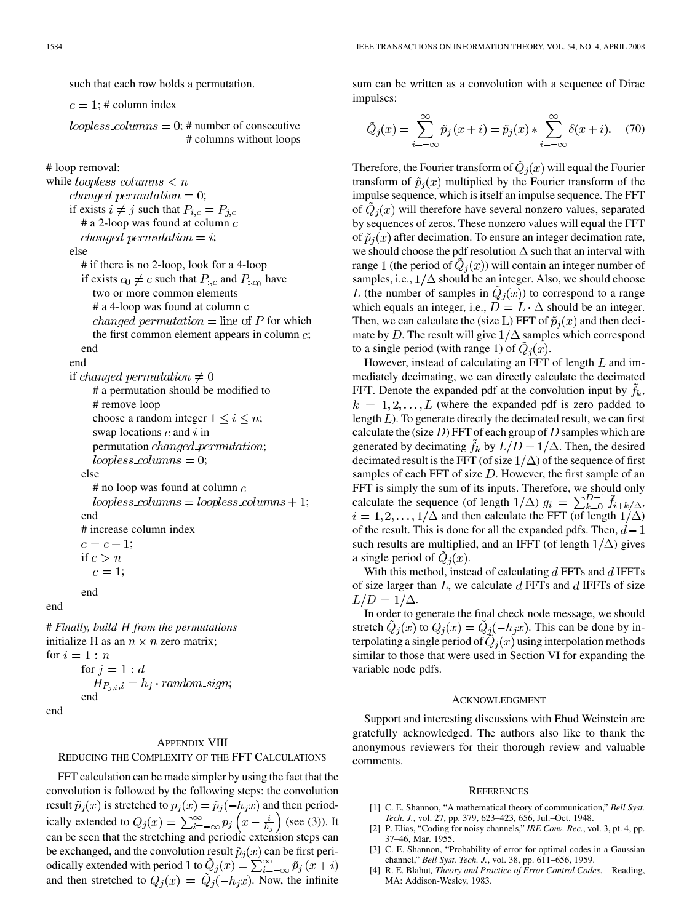such that each row holds a permutation.

 $c = 1$ : # column index

loopless columns = 0; # number of consecutive # columns without loops

# loop removal:

```
while loopless_columns \lt nchanged\_permutation = 0;if exists i \neq j such that P_{i,c} = P_{j,c}# a 2-loop was found at column cchanged_permutation = i;
    else
       # if there is no 2-loop, look for a 4-loop
       if exists c_0 \neq c such that P_{:,c} and P_{:,c_0} have
         two or more common elements
         # a 4-loop was found at column c
         changed permutation = line of P for which
         the first common element appears in column c;
       end
    end
    if changed permutation \neq 0# a permutation should be modified to
         # remove loop
         choose a random integer 1 \leq i \leq n;
         swap locations c and i in
```
else

 $#$  no loop was found at column  $c$  $loopless \textit{-}columns = loopless \textit{-}columns + 1;$ end # increase column index  $c = c + 1;$ if  $c > n$  $c=1;$ 

permutation *changed\_permutation*;

 $loopless columns = 0;$ 

end

end

# *Finally, build from the permutations* initialize H as an  $n \times n$  zero matrix; for  $i=1:n$ for  $j=1:d$  $H_{P_{j,i},i} = h_j \cdot random\_sign;$ end end

#### APPENDIX VIII

REDUCING THE COMPLEXITY OF THE FFT CALCULATIONS

FFT calculation can be made simpler by using the fact that the convolution is followed by the following steps: the convolution result  $\tilde{p}_i(x)$  is stretched to  $p_i(x) = \tilde{p}_i(-h_i x)$  and then periodically extended to  $Q_i(x) = \sum_{i=-\infty}^{\infty} p_i(x - \frac{i}{b})$  (see (3)). It can be seen that the stretching and periodic extension steps can be exchanged, and the convolution result  $\tilde{p}_i(x)$  can be first periodically extended with period 1 to  $\tilde{Q}_j(x) = \sum_{i=-\infty}^{\infty} \tilde{p}_j(x+i)$ and then stretched to  $Q_i(x) = \tilde{Q}_i(-h_i x)$ . Now, the infinite

sum can be written as a convolution with a sequence of Dirac impulses:

$$
\tilde{Q}_j(x) = \sum_{i=-\infty}^{\infty} \tilde{p}_j(x+i) = \tilde{p}_j(x) * \sum_{i=-\infty}^{\infty} \delta(x+i). \quad (70)
$$

Therefore, the Fourier transform of  $\tilde{Q}_i(x)$  will equal the Fourier transform of  $\tilde{p}_i(x)$  multiplied by the Fourier transform of the impulse sequence, which is itself an impulse sequence. The FFT of  $Q_i(x)$  will therefore have several nonzero values, separated by sequences of zeros. These nonzero values will equal the FFT of  $\tilde{p}_i(x)$  after decimation. To ensure an integer decimation rate, we should choose the pdf resolution  $\Delta$  such that an interval with range 1 (the period of  $Q_i(x)$ ) will contain an integer number of samples, i.e.,  $1/\Delta$  should be an integer. Also, we should choose L (the number of samples in  $Q_i(x)$ ) to correspond to a range which equals an integer, i.e.,  $D = L \cdot \Delta$  should be an integer. Then, we can calculate the (size L) FFT of  $\tilde{p}_i(x)$  and then decimate by D. The result will give  $1/\Delta$  samples which correspond to a single period (with range 1) of  $\ddot{Q}_i(x)$ .

However, instead of calculating an FFT of length  $L$  and immediately decimating, we can directly calculate the decimated FFT. Denote the expanded pdf at the convolution input by  $f_k$ ,  $k = 1, 2, \ldots, L$  (where the expanded pdf is zero padded to length  $L$ ). To generate directly the decimated result, we can first calculate the (size  $D$ ) FFT of each group of  $D$  samples which are generated by decimating  $f_k$  by  $L/D = 1/\Delta$ . Then, the desired decimated result is the FFT (of size  $1/\Delta$ ) of the sequence of first samples of each FFT of size  $D$ . However, the first sample of an FFT is simply the sum of its inputs. Therefore, we should only calculate the sequence (of length  $1/\Delta$ )  $g_i = \sum_{k=0}^{D-1} \tilde{f}_{i+k/\Delta}$ ,  $i = 1, 2, \dots, 1/\Delta$  and then calculate the FFT (of length  $1/\Delta$ ) of the result. This is done for all the expanded pdfs. Then,  $d-1$ such results are multiplied, and an IFFT (of length  $1/\Delta$ ) gives a single period of  $Q_i(x)$ .

With this method, instead of calculating  $d$  FFTs and  $d$  IFFTs of size larger than  $L$ , we calculate  $d$  FFTs and  $d$  IFFTs of size  $L/D = 1/\Delta$ .

In order to generate the final check node message, we should stretch  $\tilde{Q}_j(x)$  to  $Q_j(x) = \tilde{Q}_j(-h_jx)$ . This can be done by interpolating a single period of  $\tilde{Q}_i(x)$  using interpolation methods similar to those that were used in Section VI for expanding the variable node pdfs.

#### ACKNOWLEDGMENT

Support and interesting discussions with Ehud Weinstein are gratefully acknowledged. The authors also like to thank the anonymous reviewers for their thorough review and valuable comments.

#### **REFERENCES**

- [1] C. E. Shannon, "A mathematical theory of communication," *Bell Syst. Tech. J.*, vol. 27, pp. 379, 623–423, 656, Jul.–Oct. 1948.
- [2] P. Elias, "Coding for noisy channels," *IRE Conv. Rec.*, vol. 3, pt. 4, pp. 37–46, Mar. 1955.
- [3] C. E. Shannon, "Probability of error for optimal codes in a Gaussian channel," *Bell Syst. Tech. J.*, vol. 38, pp. 611–656, 1959.
- [4] R. E. Blahut*, Theory and Practice of Error Control Codes*. Reading, MA: Addison-Wesley, 1983.